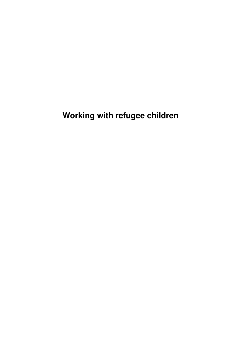# **Working with refugee children**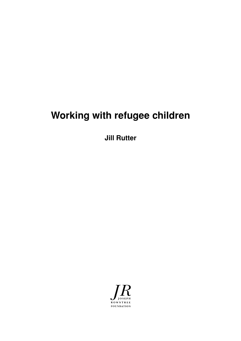# **Working with refugee children**

**Jill Rutter**

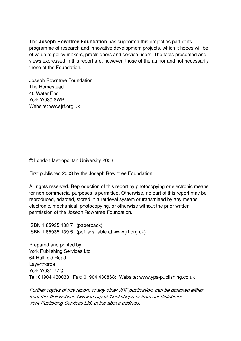The **Joseph Rowntree Foundation** has supported this project as part of its programme of research and innovative development projects, which it hopes will be of value to policy makers, practitioners and service users. The facts presented and views expressed in this report are, however, those of the author and not necessarily those of the Foundation.

Joseph Rowntree Foundation The Homestead 40 Water End York YO30 6WP Website: www.jrf.org.uk

© London Metropolitan University 2003

First published 2003 by the Joseph Rowntree Foundation

All rights reserved. Reproduction of this report by photocopying or electronic means for non-commercial purposes is permitted. Otherwise, no part of this report may be reproduced, adapted, stored in a retrieval system or transmitted by any means, electronic, mechanical, photocopying, or otherwise without the prior written permission of the Joseph Rowntree Foundation.

ISBN 1 85935 138 7 (paperback) ISBN 1 85935 139 5 (pdf: available at www.jrf.org.uk)

Prepared and printed by: York Publishing Services Ltd 64 Hallfield Road **Laverthorpe** York YO31 7ZQ Tel: 01904 430033; Fax: 01904 430868; Website: www.yps-publishing.co.uk

Further copies of this report, or any other JRF publication, can be obtained either from the JRF website (www.jrf.org.uk/bookshop/) or from our distributor, York Publishing Services Ltd, at the above address.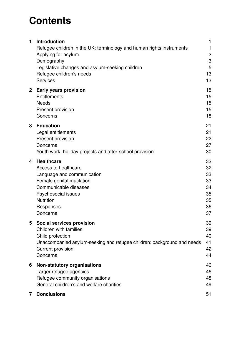# **Contents**

| 1            | <b>Introduction</b><br>Refugee children in the UK: terminology and human rights instruments<br>Applying for asylum                                                                                | 1<br>1<br>$\overline{c}$                           |
|--------------|---------------------------------------------------------------------------------------------------------------------------------------------------------------------------------------------------|----------------------------------------------------|
|              | Demography<br>Legislative changes and asylum-seeking children<br>Refugee children's needs<br><b>Services</b>                                                                                      | 3<br>5<br>13<br>13                                 |
| $\mathbf{2}$ | <b>Early years provision</b><br>Entitlements<br><b>Needs</b><br>Present provision<br>Concerns                                                                                                     | 15<br>15<br>15<br>15<br>18                         |
| 3            | <b>Education</b><br>Legal entitlements<br>Present provision<br>Concerns<br>Youth work, holiday projects and after-school provision                                                                | 21<br>21<br>22<br>27<br>30                         |
| 4            | <b>Healthcare</b><br>Access to healthcare<br>Language and communication<br>Female genital mutilation<br>Communicable diseases<br>Psychosocial issues<br><b>Nutrition</b><br>Responses<br>Concerns | 32<br>32<br>33<br>33<br>34<br>35<br>35<br>36<br>37 |
| 5            | Social services provision<br><b>Children with families</b><br>Child protection<br>Unaccompanied asylum-seeking and refugee children: background and needs<br><b>Current provision</b><br>Concerns | 39<br>39<br>40<br>41<br>42<br>44                   |
| 6            | <b>Non-statutory organisations</b><br>Larger refugee agencies<br>Refugee community organisations<br>General children's and welfare charities                                                      | 46<br>46<br>48<br>49                               |
| 7            | <b>Conclusions</b>                                                                                                                                                                                | 51                                                 |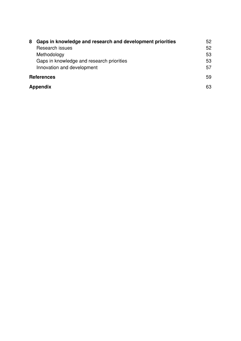| 8                 | Gaps in knowledge and research and development priorities<br>Research issues<br>Methodology<br>Gaps in knowledge and research priorities<br>Innovation and development | 52<br>52<br>53<br>53<br>57 |
|-------------------|------------------------------------------------------------------------------------------------------------------------------------------------------------------------|----------------------------|
| <b>References</b> |                                                                                                                                                                        | 59                         |
| Appendix          |                                                                                                                                                                        | 63                         |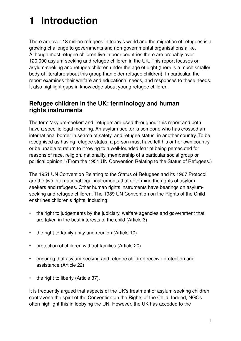# **1 Introduction**

There are over 18 million refugees in today's world and the migration of refugees is a growing challenge to governments and non-governmental organisations alike. Although most refugee children live in poor countries there are probably over 120,000 asylum-seeking and refugee children in the UK. This report focuses on asylum-seeking and refugee children under the age of eight (there is a much smaller body of literature about this group than older refugee children). In particular, the report examines their welfare and educational needs, and responses to these needs. It also highlight gaps in knowledge about young refugee children.

### **Refugee children in the UK: terminology and human rights instruments**

The term 'asylum-seeker' and 'refugee' are used throughout this report and both have a specific legal meaning. An asylum-seeker is someone who has crossed an international border in search of safety, and refugee status, in another country. To be recognised as having refugee status, a person must have left his or her own country or be unable to return to it 'owing to a well-founded fear of being persecuted for reasons of race, religion, nationality, membership of a particular social group or political opinion.' (From the 1951 UN Convention Relating to the Status of Refugees.)

The 1951 UN Convention Relating to the Status of Refugees and its 1967 Protocol are the two international legal instruments that determine the rights of asylumseekers and refugees. Other human rights instruments have bearings on asylumseeking and refugee children. The 1989 UN Convention on the Rights of the Child enshrines children's rights, including:

- the right to judgements by the judiciary, welfare agencies and government that are taken in the best interests of the child (Article 3)
- the right to family unity and reunion (Article 10)
- protection of children without families (Article 20)
- ensuring that asylum-seeking and refugee children receive protection and assistance (Article 22)
- the right to liberty (Article 37).

It is frequently argued that aspects of the UK's treatment of asylum-seeking children contravene the spirit of the Convention on the Rights of the Child. Indeed, NGOs often highlight this in lobbying the UN. However, the UK has acceded to the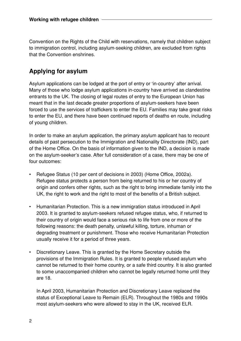Convention on the Rights of the Child with reservations, namely that children subject to immigration control, including asylum-seeking children, are excluded from rights that the Convention enshrines.

## **Applying for asylum**

Asylum applications can be lodged at the port of entry or 'in-country' after arrival. Many of those who lodge asylum applications in-country have arrived as clandestine entrants to the UK. The closing of legal routes of entry to the European Union has meant that in the last decade greater proportions of asylum-seekers have been forced to use the services of traffickers to enter the EU. Families may take great risks to enter the EU, and there have been continued reports of deaths en route, including of young children.

In order to make an asylum application, the primary asylum applicant has to recount details of past persecution to the Immigration and Nationality Directorate (IND), part of the Home Office. On the basis of information given to the IND, a decision is made on the asylum-seeker's case. After full consideration of a case, there may be one of four outcomes:

- Refugee Status (10 per cent of decisions in 2003) (Home Office, 2002a). Refugee status protects a person from being returned to his or her country of origin and confers other rights, such as the right to bring immediate family into the UK, the right to work and the right to most of the benefits of a British subject.
- Humanitarian Protection. This is a new immigration status introduced in April 2003. It is granted to asylum-seekers refused refugee status, who, if returned to their country of origin would face a serious risk to life from one or more of the following reasons: the death penalty, unlawful killing, torture, inhuman or degrading treatment or punishment. Those who receive Humanitarian Protection usually receive it for a period of three years.
- Discretionary Leave. This is granted by the Home Secretary outside the provisions of the Immigration Rules. It is granted to people refused asylum who cannot be returned to their home country, or a safe third country. It is also granted to some unaccompanied children who cannot be legally returned home until they are 18.

In April 2003, Humanitarian Protection and Discretionary Leave replaced the status of Exceptional Leave to Remain (ELR). Throughout the 1980s and 1990s most asylum-seekers who were allowed to stay in the UK, received ELR.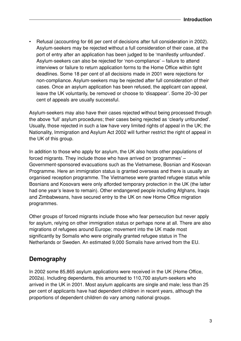• Refusal (accounting for 66 per cent of decisions after full consideration in 2002). Asylum-seekers may be rejected without a full consideration of their case, at the port of entry after an application has been judged to be 'manifestly unfounded'. Asylum-seekers can also be rejected for 'non-compliance' – failure to attend interviews or failure to return application forms to the Home Office within tight deadlines. Some 18 per cent of all decisions made in 2001 were rejections for non-compliance. Asylum-seekers may be rejected after full consideration of their cases. Once an asylum application has been refused, the applicant can appeal, leave the UK voluntarily, be removed or choose to 'disappear'. Some 20–30 per cent of appeals are usually successful.

Asylum-seekers may also have their cases rejected without being processed through the above 'full' asylum procedures; their cases being rejected as 'clearly unfounded'. Usually, those rejected in such a law have very limited rights of appeal in the UK; the Nationality, Immigration and Asylum Act 2002 will further restrict the right of appeal in the UK of this group.

In addition to those who apply for asylum, the UK also hosts other populations of forced migrants. They include those who have arrived on 'programmes' – Government-sponsored evacuations such as the Vietnamese, Bosnian and Kosovan Programme. Here an immigration status is granted overseas and there is usually an organised reception programme. The Vietnamese were granted refugee status while Bosnians and Kosovars were only afforded temporary protection in the UK (the latter had one year's leave to remain). Other endangered people including Afghans, Iraqis and Zimbabweans, have secured entry to the UK on new Home Office migration programmes.

Other groups of forced migrants include those who fear persecution but never apply for asylum, relying on other immigration status or perhaps none at all. There are also migrations of refugees around Europe; movement into the UK made most significantly by Somalis who were originally granted refugee status in The Netherlands or Sweden. An estimated 9,000 Somalis have arrived from the EU.

## **Demography**

In 2002 some 85,865 asylum applications were received in the UK (Home Office, 2002a). Including dependants, this amounted to 110,700 asylum-seekers who arrived in the UK in 2001. Most asylum applicants are single and male; less than 25 per cent of applicants have had dependent children in recent years, although the proportions of dependent children do vary among national groups.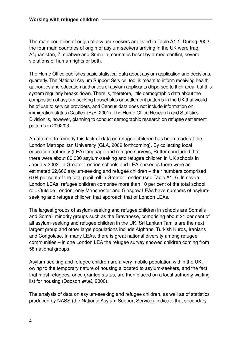The main countries of origin of asylum-seekers are listed in Table A1.1. During 2002, the four main countries of origin of asylum-seekers arriving in the UK were Iraq, Afghanistan, Zimbabwe and Somalia; countries beset by armed conflict, severe violations of human rights or both.

The Home Office publishes basic statistical data about asylum application and decisions, quarterly. The National Asylum Support Service, too, is meant to inform receiving health authorities and education authorities of asylum applicants dispersed to their area, but this system regularly breaks down. There is, therefore, little demographic data about the composition of asylum-seeking households or settlement patterns in the UK that would be of use to service providers, and Census data does not include information on immigration status (Castles et al., 2001). The Home Office Research and Statistics Division is, however, planning to conduct demographic research on refugee settlement patterns in 2002/03.

An attempt to remedy this lack of data on refugee children has been made at the London Metropolitan University (GLA, 2002 forthcoming). By collecting local education authority (LEA) language and refugee surveys, Rutter concluded that there were about 80,000 asylum-seeking and refugee children in UK schools in January 2002. In Greater London schools and LEA nurseries there were an estimated 62,666 asylum-seeking and refugee children – their numbers comprised 6.04 per cent of the total pupil roll in Greater London (see Table A1.3). In seven London LEAs, refugee children comprise more than 10 per cent of the total school roll. Outside London, only Manchester and Glasgow LEAs have numbers of asylumseeking and refugee children that approach that of London LEAs.

The largest groups of asylum-seeking and refugee children in schools are Somalis and Somali minority groups such as the Bravanese, comprising about 21 per cent of all asylum-seeking and refugee children in the UK. Sri Lankan Tamils are the next largest group and other large populations include Afghans, Turkish Kurds, Iranians and Congolese. In many LEAs, there is great national diversity among refugee communities – in one London LEA the refugee survey showed children coming from 58 national groups.

Asylum-seeking and refugee children are a very mobile population within the UK, owing to the temporary nature of housing allocated to asylum-seekers, and the fact that most refugees, once granted status, are then placed on a local authority waiting list for housing (Dobson et al., 2000).

The analysis of data on asylum-seeking and refugee children, as well as of statistics produced by NASS (the National Asylum Support Service), indicate that secondary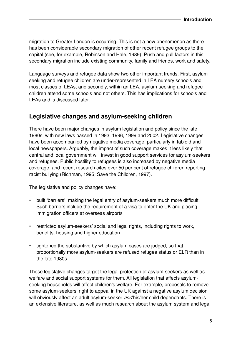migration to Greater London is occurring. This is not a new phenomenon as there has been considerable secondary migration of other recent refugee groups to the capital (see, for example, Robinson and Hale, 1989). Push and pull factors in this secondary migration include existing community, family and friends, work and safety.

Language surveys and refugee data show two other important trends. First, asylumseeking and refugee children are under-represented in LEA nursery schools and most classes of LEAs, and secondly, within an LEA, asylum-seeking and refugee children attend some schools and not others. This has implications for schools and LEAs and is discussed later.

### **Legislative changes and asylum-seeking children**

There have been major changes in asylum legislation and policy since the late 1980s, with new laws passed in 1993, 1996, 1999 and 2002. Legislative changes have been accompanied by negative media coverage, particularly in tabloid and local newspapers. Arguably, the impact of such coverage makes it less likely that central and local government will invest in good support services for asylum-seekers and refugees. Public hostility to refugees is also increased by negative media coverage, and recent research cites over 50 per cent of refugee children reporting racist bullying (Richman, 1995; Save the Children, 1997).

The legislative and policy changes have:

- built 'barriers', making the legal entry of asylum-seekers much more difficult. Such barriers include the requirement of a visa to enter the UK and placing immigration officers at overseas airports
- restricted asylum-seekers' social and legal rights, including rights to work, benefits, housing and higher education
- tightened the substantive by which asylum cases are judged, so that proportionally more asylum-seekers are refused refugee status or ELR than in the late 1980s.

These legislative changes target the legal protection of asylum-seekers as well as welfare and social support systems for them. All legislation that affects asylumseeking households will affect children's welfare. For example, proposals to remove some asylum-seekers' right to appeal in the UK against a negative asylum decision will obviously affect an adult asylum-seeker and his/her child dependants. There is an extensive literature, as well as much research about the asylum system and legal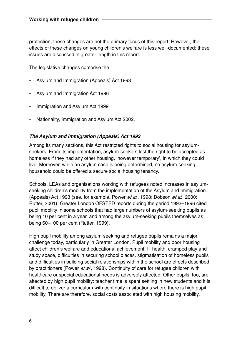protection; these changes are not the primary focus of this report. However, the effects of these changes on young children's welfare is less well-documented; these issues are discussed in greater length in this report.

The legislative changes comprise the:

- Asylum and Immigration (Appeals) Act 1993
- Asylum and Immigration Act 1996
- Immigration and Asylum Act 1999
- Nationality, Immigration and Asylum Act 2002.

#### **The Asylum and Immigration (Appeals) Act 1993**

Among its many sections, this Act restricted rights to social housing for asylumseekers. From its implementation, asylum-seekers lost the right to be accepted as homeless if they had any other housing, 'however temporary', in which they could live. Moreover, while an asylum case is being determined, no asylum-seeking household could be offered a secure social housing tenancy.

Schools, LEAs and organisations working with refugees noted increases in asylumseeking children's mobility from the implementation of the Asylum and Immigration (Appeals) Act 1993 (see, for example, Power et al., 1998; Dobson et al., 2000; Rutter, 2001). Greater London OFSTED reports during the period 1993–1996 cited pupil mobility in some schools that had large numbers of asylum-seeking pupils as being 10 per cent in a year, and among the asylum-seeking pupils themselves as being 60–100 per cent (Rutter, 1999).

High pupil mobility among asylum-seeking and refugee pupils remains a major challenge today, particularly in Greater London. Pupil mobility and poor housing affect children's welfare and educational achievement. Ill-health, cramped play and study space, difficulties in securing school places, stigmatisation of homeless pupils and difficulties in building social relationships within the school are effects described by practitioners (Power et al., 1998). Continuity of care for refugee children with healthcare or special educational needs is adversely affected. Other pupils, too, are affected by high pupil mobility: teacher time is spent settling in new students and it is difficult to deliver a curriculum with continuity in situations where there is high pupil mobility. There are therefore, social costs associated with high housing mobility.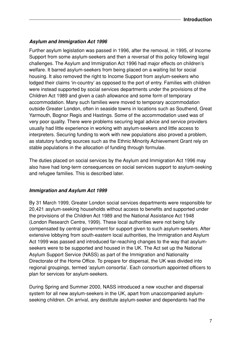#### **Asylum and Immigration Act 1996**

Further asylum legislation was passed in 1996, after the removal, in 1995, of Income Support from some asylum-seekers and then a reversal of this policy following legal challenges. The Asylum and Immigration Act 1996 had major effects on children's welfare. It barred asylum-seekers from being placed on a waiting list for social housing. It also removed the right to Income Support from asylum-seekers who lodged their claims 'in-country' as opposed to the port of entry. Families with children were instead supported by social services departments under the provisions of the Children Act 1989 and given a cash allowance and some form of temporary accommodation. Many such families were moved to temporary accommodation outside Greater London, often in seaside towns in locations such as Southend, Great Yarmouth, Bognor Regis and Hastings. Some of the accommodation used was of very poor quality. There were problems securing legal advice and service providers usually had little experience in working with asylum-seekers and little access to interpreters. Securing funding to work with new populations also proved a problem, as statutory funding sources such as the Ethnic Minority Achievement Grant rely on stable populations in the allocation of funding through formulae.

The duties placed on social services by the Asylum and Immigration Act 1996 may also have had long-term consequences on social services support to asylum-seeking and refugee families. This is described later.

#### **Immigration and Asylum Act 1999**

By 31 March 1999, Greater London social services departments were responsible for 20,421 asylum-seeking households without access to benefits and supported under the provisions of the Children Act 1989 and the National Assistance Act 1948 (London Research Centre, 1999). These local authorities were not being fully compensated by central government for support given to such asylum-seekers. After extensive lobbying from south-eastern local authorities, the Immigration and Asylum Act 1999 was passed and introduced far-reaching changes to the way that asylumseekers were to be supported and housed in the UK. The Act set up the National Asylum Support Service (NASS) as part of the Immigration and Nationality Directorate of the Home Office. To prepare for dispersal, the UK was divided into regional groupings, termed 'asylum consortia'. Each consortium appointed officers to plan for services for asylum-seekers.

During Spring and Summer 2000, NASS introduced a new voucher and dispersal system for all new asylum-seekers in the UK, apart from unaccompanied asylumseeking children. On arrival, any destitute asylum-seeker and dependants had the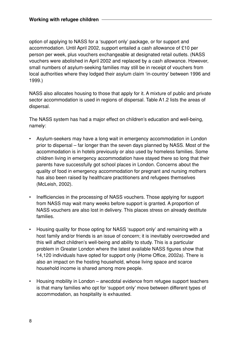option of applying to NASS for a 'support only' package, or for support and accommodation. Until April 2002, support entailed a cash allowance of £10 per person per week, plus vouchers exchangeable at designated retail outlets. (NASS vouchers were abolished in April 2002 and replaced by a cash allowance. However, small numbers of asylum-seeking families may still be in receipt of vouchers from local authorities where they lodged their asylum claim 'in-country' between 1996 and 1999.)

NASS also allocates housing to those that apply for it. A mixture of public and private sector accommodation is used in regions of dispersal. Table A1.2 lists the areas of dispersal.

The NASS system has had a major effect on children's education and well-being, namely:

- Asylum-seekers may have a long wait in emergency accommodation in London prior to dispersal – far longer than the seven days planned by NASS. Most of the accommodation is in hotels previously or also used by homeless families. Some children living in emergency accommodation have stayed there so long that their parents have successfully got school places in London. Concerns about the quality of food in emergency accommodation for pregnant and nursing mothers has also been raised by healthcare practitioners and refugees themselves (McLeish, 2002).
- Inefficiencies in the processing of NASS vouchers. Those applying for support from NASS may wait many weeks before support is granted. A proportion of NASS vouchers are also lost in delivery. This places stress on already destitute families.
- Housing quality for those opting for NASS 'support only' and remaining with a host family and/or friends is an issue of concern; it is inevitably overcrowded and this will affect children's well-being and ability to study. This is a particular problem in Greater London where the latest available NASS figures show that 14,120 individuals have opted for support only (Home Office, 2002a). There is also an impact on the hosting household, whose living space and scarce household income is shared among more people.
- Housing mobility in London anecdotal evidence from refugee support teachers is that many families who opt for 'support only' move between different types of accommodation, as hospitality is exhausted.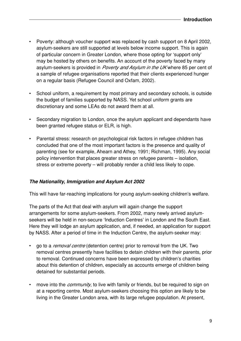- Poverty: although voucher support was replaced by cash support on 8 April 2002, asylum-seekers are still supported at levels below income support. This is again of particular concern in Greater London, where those opting for 'support only' may be hosted by others on benefits. An account of the poverty faced by many asylum-seekers is provided in Poverty and Asylum in the UK where 85 per cent of a sample of refugee organisations reported that their clients experienced hunger on a regular basis (Refugee Council and Oxfam, 2002).
- School uniform, a requirement by most primary and secondary schools, is outside the budget of families supported by NASS. Yet school uniform grants are discretionary and some LEAs do not award them at all.
- Secondary migration to London, once the asylum applicant and dependants have been granted refugee status or ELR, is high.
- Parental stress: research on psychological risk factors in refugee children has concluded that one of the most important factors is the presence and quality of parenting (see for example, Ahearn and Athey, 1991; Richman, 1995). Any social policy intervention that places greater stress on refugee parents – isolation, stress or extreme poverty – will probably render a child less likely to cope.

#### **The Nationality, Immigration and Asylum Act 2002**

This will have far-reaching implications for young asylum-seeking children's welfare.

The parts of the Act that deal with asylum will again change the support arrangements for some asylum-seekers. From 2002, many newly arrived asylumseekers will be held in non-secure 'Induction Centres' in London and the South East. Here they will lodge an asylum application, and, if needed, an application for support by NASS. After a period of time in the Induction Centre, the asylum-seeker may:

- go to a *removal centre* (detention centre) prior to removal from the UK. Two removal centres presently have facilities to detain children with their parents, prior to removal. Continued concerns have been expressed by children's charities about this detention of children, especially as accounts emerge of children being detained for substantial periods.
- move into the *community*, to live with family or friends, but be required to sign on at a reporting centre. Most asylum-seekers choosing this option are likely to be living in the Greater London area, with its large refugee population. At present,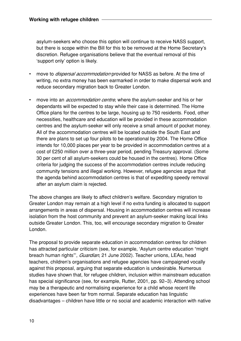asylum-seekers who choose this option will continue to receive NASS support, but there is scope within the Bill for this to be removed at the Home Secretary's discretion. Refugee organisations believe that the eventual removal of this 'support only' option is likely.

- move to *dispersal accommodation* provided for NASS as before. At the time of writing, no extra money has been earmarked in order to make dispersal work and reduce secondary migration back to Greater London.
- move into an *accommodation centre*, where the asylum-seeker and his or her dependants will be expected to stay while their case is determined. The Home Office plans for the centres to be large, housing up to 750 residents. Food, other necessities, healthcare and education will be provided in these accommodation centres and the asylum-seeker will only receive a small amount of pocket money. All of the accommodation centres will be located outside the South East and there are plans to set up four pilots to be operational by 2004. The Home Office intends for 10,000 places per year to be provided in accommodation centres at a cost of £250 million over a three-year period, pending Treasury approval. (Some 30 per cent of all asylum-seekers could be housed in the centres). Home Office criteria for judging the success of the accommodation centres include reducing community tensions and illegal working. However, refugee agencies argue that the agenda behind accommodation centres is that of expediting speedy removal after an asylum claim is rejected.

The above changes are likely to affect children's welfare. Secondary migration to Greater London may remain at a high level if no extra funding is allocated to support arrangements in areas of dispersal. Housing in accommodation centres will increase isolation from the host community and prevent an asylum-seeker making local links outside Greater London. This, too, will encourage secondary migration to Greater London.

The proposal to provide separate education in accommodation centres for children has attracted particular criticism (see, for example, 'Asylum centre education "might breach human rights"', *Guardian*, 21 June 2002). Teacher unions, LEAs, head teachers, children's organisations and refugee agencies have campaigned vocally against this proposal, arguing that separate education is undesirable. Numerous studies have shown that, for refugee children, inclusion within mainstream education has special significance (see, for example, Rutter, 2001, pp. 92–3). Attending school may be a therapeutic and normalising experience for a child whose recent life experiences have been far from normal. Separate education has linguistic disadvantages – children have little or no social and academic interaction with native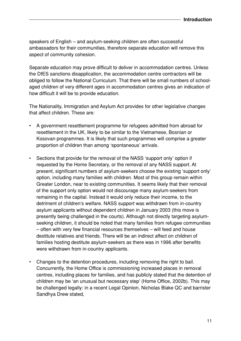speakers of English – and asylum-seeking children are often successful ambassadors for their communities, therefore separate education will remove this aspect of community cohesion.

Separate education may prove difficult to deliver in accommodation centres. Unless the DfES sanctions disapplication, the accommodation centre contractors will be obliged to follow the National Curriculum. That there will be small numbers of schoolaged children of very different ages in accommodation centres gives an indication of how difficult it will be to provide education.

The Nationality, Immigration and Asylum Act provides for other legislative changes that affect children. These are:

- A government resettlement programme for refugees admitted from abroad for resettlement in the UK, likely to be similar to the Vietnamese, Bosnian or Kosovan programmes. It is likely that such programmes will comprise a greater proportion of children than among 'spontaneous' arrivals.
- Sections that provide for the removal of the NASS 'support only' option if requested by the Home Secretary, or the removal of any NASS support. At present, significant numbers of asylum-seekers choose the existing 'support only' option, including many families with children. Most of this group remain within Greater London, near to existing communities. It seems likely that their removal of the support only option would not discourage many asylum-seekers from remaining in the capital. Instead it would only reduce their income, to the detriment of children's welfare. NASS support was withdrawn from in-country asylum applicants without dependent children in January 2003 (this move is presently being challenged in the courts). Although not directly targeting asylumseeking children, it should be noted that many families from refugee communities – often with very few financial resources themselves – will feed and house destitute relatives and friends. There will be an indirect affect on children of families hosting destitute asylum-seekers as there was in 1996 after benefits were withdrawn from in-country applicants.
- Changes to the detention procedures, including removing the right to bail. Concurrently, the Home Office is commissioning increased places in removal centres, including places for families, and has publicly stated that the detention of children may be 'an unusual but necessary step' (Home Office, 2002b). This may be challenged legally: in a recent Legal Opinion, Nicholas Blake QC and barrister Sandhya Drew stated,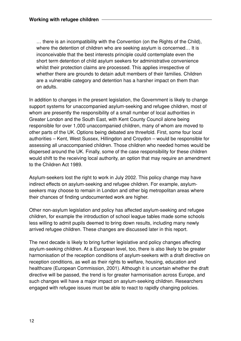… there is an incompatibility with the Convention (on the Rights of the Child), where the detention of children who are seeking asylum is concerned... It is inconceivable that the best interests principle could contemplate even the short term detention of child asylum seekers for administrative convenience whilst their protection claims are processed. This applies irrespective of whether there are grounds to detain adult members of their families. Children are a vulnerable category and detention has a harsher impact on them than on adults.

In addition to changes in the present legislation, the Government is likely to change support systems for unaccompanied asylum-seeking and refugee children, most of whom are presently the responsibility of a small number of local authorities in Greater London and the South East, with Kent County Council alone being responsible for over 1,000 unaccompanied children, many of whom are moved to other parts of the UK. Options being debated are threefold. First, some four local authorities – Kent, West Sussex, Hillingdon and Croydon – would be responsible for assessing all unaccompanied children. Those children who needed homes would be dispersed around the UK. Finally, some of the case responsibility for these children would shift to the receiving local authority, an option that may require an amendment to the Children Act 1989.

Asylum-seekers lost the right to work in July 2002. This policy change may have indirect effects on asylum-seeking and refugee children. For example, asylumseekers may choose to remain in London and other big metropolitan areas where their chances of finding undocumented work are higher.

Other non-asylum legislation and policy has affected asylum-seeking and refugee children, for example the introduction of school league tables made some schools less willing to admit pupils deemed to bring down results, including many newly arrived refugee children. These changes are discussed later in this report.

The next decade is likely to bring further legislative and policy changes affecting asylum-seeking children. At a European level, too, there is also likely to be greater harmonisation of the reception conditions of asylum-seekers with a draft directive on reception conditions, as well as their rights to welfare, housing, education and healthcare (European Commission, 2001). Although it is uncertain whether the draft directive will be passed, the trend is for greater harmonisation across Europe, and such changes will have a major impact on asylum-seeking children. Researchers engaged with refugee issues must be able to react to rapidly changing policies.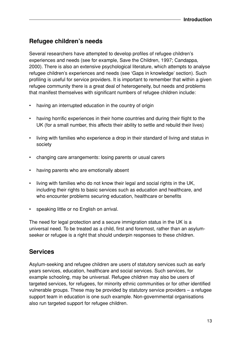## **Refugee children's needs**

Several researchers have attempted to develop profiles of refugee children's experiences and needs (see for example, Save the Children, 1997; Candappa, 2000). There is also an extensive psychological literature, which attempts to analyse refugee children's experiences and needs (see 'Gaps in knowledge' section). Such profiling is useful for service providers. It is important to remember that within a given refugee community there is a great deal of heterogeneity, but needs and problems that manifest themselves with significant numbers of refugee children include:

- having an interrupted education in the country of origin
- having horrific experiences in their home countries and during their flight to the UK (for a small number, this affects their ability to settle and rebuild their lives)
- living with families who experience a drop in their standard of living and status in society
- changing care arrangements: losing parents or usual carers
- having parents who are emotionally absent
- living with families who do not know their legal and social rights in the UK, including their rights to basic services such as education and healthcare, and who encounter problems securing education, healthcare or benefits
- speaking little or no English on arrival.

The need for legal protection and a secure immigration status in the UK is a universal need. To be treated as a child, first and foremost, rather than an asylumseeker or refugee is a right that should underpin responses to these children.

### **Services**

Asylum-seeking and refugee children are users of statutory services such as early years services, education, healthcare and social services. Such services, for example schooling, may be universal. Refugee children may also be users of targeted services, for refugees, for minority ethnic communities or for other identified vulnerable groups. These may be provided by statutory service providers – a refugee support team in education is one such example. Non-governmental organisations also run targeted support for refugee children.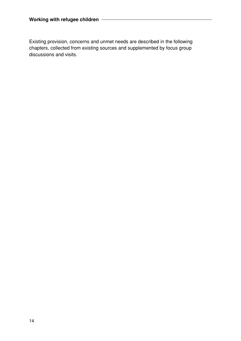Existing provision, concerns and unmet needs are described in the following chapters, collected from existing sources and supplemented by focus group discussions and visits.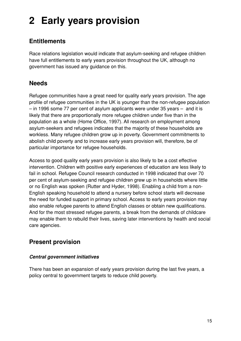# **2 Early years provision**

# **Entitlements**

Race relations legislation would indicate that asylum-seeking and refugee children have full entitlements to early years provision throughout the UK, although no government has issued any guidance on this.

## **Needs**

Refugee communities have a great need for quality early years provision. The age profile of refugee communities in the UK is younger than the non-refugee population – in 1996 some 77 per cent of asylum applicants were under 35 years – and it is likely that there are proportionally more refugee children under five than in the population as a whole (Home Office, 1997). All research on employment among asylum-seekers and refugees indicates that the majority of these households are workless. Many refugee children grow up in poverty. Government commitments to abolish child poverty and to increase early years provision will, therefore, be of particular importance for refugee households.

Access to good quality early years provision is also likely to be a cost effective intervention. Children with positive early experiences of education are less likely to fail in school. Refugee Council research conducted in 1998 indicated that over 70 per cent of asylum-seeking and refugee children grew up in households where little or no English was spoken (Rutter and Hyder, 1998). Enabling a child from a non-English speaking household to attend a nursery before school starts will decrease the need for funded support in primary school. Access to early years provision may also enable refugee parents to attend English classes or obtain new qualifications. And for the most stressed refugee parents, a break from the demands of childcare may enable them to rebuild their lives, saving later interventions by health and social care agencies.

## **Present provision**

### **Central government initiatives**

There has been an expansion of early years provision during the last five years, a policy central to government targets to reduce child poverty.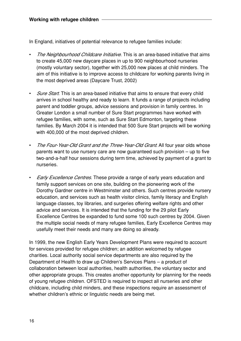In England, initiatives of potential relevance to refugee families include:

- The Neighbourhood Childcare Initiative. This is an area-based initiative that aims to create 45,000 new daycare places in up to 900 neighbourhood nurseries (mostly voluntary sector), together with 25,000 new places at child minders. The aim of this initiative is to improve access to childcare for working parents living in the most deprived areas (Daycare Trust, 2002)
- **Sure Start.** This is an area-based initiative that aims to ensure that every child arrives in school healthy and ready to learn. It funds a range of projects including parent and toddler groups, advice sessions and provision in family centres. In Greater London a small number of Sure Start programmes have worked with refugee families, with some, such as Sure Start Edmonton, targeting these families. By March 2004 it is intended that 500 Sure Start projects will be working with 400,000 of the most deprived children.
- The Four-Year-Old Grant and the Three-Year-Old Grant. All four year olds whose parents want to use nursery care are now guaranteed such provision – up to five two-and-a-half hour sessions during term time, achieved by payment of a grant to nurseries.
- **Early Excellence Centres.** These provide a range of early years education and family support services on one site, building on the pioneering work of the Dorothy Gardner centre in Westminster and others. Such centres provide nursery education, and services such as health visitor clinics, family literacy and English language classes, toy libraries, and surgeries offering welfare rights and other advice and services. It is intended that the funding for the 29 pilot Early Excellence Centres be expanded to fund some 100 such centres by 2004. Given the multiple social needs of many refugee families, Early Excellence Centres may usefully meet their needs and many are doing so already.

In 1999, the new English Early Years Development Plans were required to account for services provided for refugee children; an addition welcomed by refugee charities. Local authority social service departments are also required by the Department of Health to draw up Children's Services Plans – a product of collaboration between local authorities, health authorities, the voluntary sector and other appropriate groups. This creates another opportunity for planning for the needs of young refugee children. OFSTED is required to inspect all nurseries and other childcare, including child minders, and these inspections require an assessment of whether children's ethnic or linguistic needs are being met.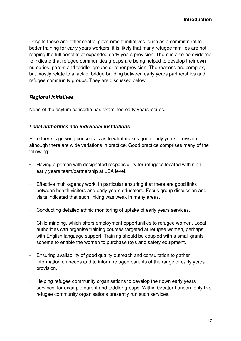Despite these and other central government initiatives, such as a commitment to better training for early years workers, it is likely that many refugee families are not reaping the full benefits of expanded early years provision. There is also no evidence to indicate that refugee communities groups are being helped to develop their own nurseries, parent and toddler groups or other provision. The reasons are complex, but mostly relate to a lack of bridge-building between early years partnerships and refugee community groups. They are discussed below.

#### **Regional initiatives**

None of the asylum consortia has examined early years issues.

#### **Local authorities and individual institutions**

Here there is growing consensus as to what makes good early years provision, although there are wide variations in practice. Good practice comprises many of the following:

- Having a person with designated responsibility for refugees located within an early years team/partnership at LEA level.
- Effective multi-agency work, in particular ensuring that there are good links between health visitors and early years educators. Focus group discussion and visits indicated that such linking was weak in many areas.
- Conducting detailed ethnic monitoring of uptake of early years services.
- Child minding, which offers employment opportunities to refugee women. Local authorities can organise training courses targeted at refugee women, perhaps with English language support. Training should be coupled with a small grants scheme to enable the women to purchase toys and safety equipment.
- Ensuring availability of good quality outreach and consultation to gather information on needs and to inform refugee parents of the range of early years provision.
- Helping refugee community organisations to develop their own early years services, for example parent and toddler groups. Within Greater London, only five refugee community organisations presently run such services.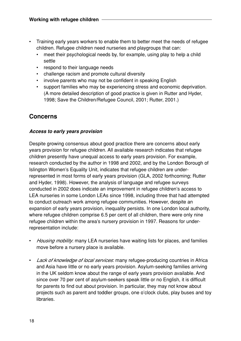- Training early years workers to enable them to better meet the needs of refugee children. Refugee children need nurseries and playgroups that can:
	- meet their psychological needs by, for example, using play to help a child settle
	- respond to their language needs
	- challenge racism and promote cultural diversity
	- involve parents who may not be confident in speaking English
	- support families who may be experiencing stress and economic deprivation. (A more detailed description of good practice is given in Rutter and Hyder, 1998; Save the Children/Refugee Council, 2001; Rutter, 2001.)

## **Concerns**

#### **Access to early years provision**

Despite growing consensus about good practice there are concerns about early years provision for refugee children. All available research indicates that refugee children presently have unequal access to early years provision. For example, research conducted by the author in 1998 and 2002, and by the London Borough of Islington Women's Equality Unit, indicates that refugee children are underrepresented in most forms of early years provision (GLA, 2002 forthcoming; Rutter and Hyder, 1998). However, the analysis of language and refugee surveys conducted in 2002 does indicate an improvement in refugee children's access to LEA nurseries in some London LEAs since 1998, including three that had attempted to conduct outreach work among refugee communities. However, despite an expansion of early years provision, inequality persists. In one London local authority, where refugee children comprise 6.5 per cent of all children, there were only nine refugee children within the area's nursery provision in 1997. Reasons for underrepresentation include:

- Housing mobility: many LEA nurseries have waiting lists for places, and families move before a nursery place is available.
- Lack of knowledge of local services: many refugee-producing countries in Africa and Asia have little or no early years provision. Asylum-seeking families arriving in the UK seldom know about the range of early years provision available. And since over 70 per cent of asylum-seekers speak little or no English, it is difficult for parents to find out about provision. In particular, they may not know about projects such as parent and toddler groups, one o'clock clubs, play buses and toy libraries.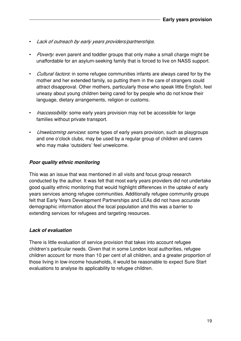- Lack of outreach by early years providers/partnerships.
- *Poverty*: even parent and toddler groups that only make a small charge might be unaffordable for an asylum-seeking family that is forced to live on NASS support.
- Cultural factors: in some refugee communities infants are always cared for by the mother and her extended family, so putting them in the care of strangers could attract disapproval. Other mothers, particularly those who speak little English, feel uneasy about young children being cared for by people who do not know their language, dietary arrangements, religion or customs.
- *Inaccessibility*: some early years provision may not be accessible for large families without private transport.
- *Unwelcoming services*: some types of early years provision, such as playgroups and one o'clock clubs, may be used by a regular group of children and carers who may make 'outsiders' feel unwelcome.

#### **Poor quality ethnic monitoring**

This was an issue that was mentioned in all visits and focus group research conducted by the author. It was felt that most early years providers did not undertake good quality ethnic monitoring that would highlight differences in the uptake of early years services among refugee communities. Additionally refugee community groups felt that Early Years Development Partnerships and LEAs did not have accurate demographic information about the local population and this was a barrier to extending services for refugees and targeting resources.

#### **Lack of evaluation**

There is little evaluation of service provision that takes into account refugee children's particular needs. Given that in some London local authorities, refugee children account for more than 10 per cent of all children, and a greater proportion of those living in low-income households, it would be reasonable to expect Sure Start evaluations to analyse its applicability to refugee children.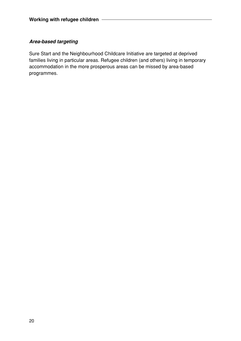#### **Area-based targeting**

Sure Start and the Neighbourhood Childcare Initiative are targeted at deprived families living in particular areas. Refugee children (and others) living in temporary accommodation in the more prosperous areas can be missed by area-based programmes.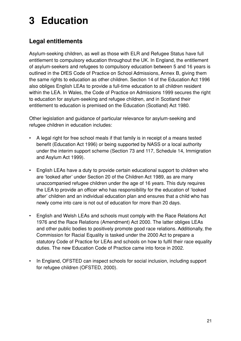# **3 Education**

# **Legal entitlements**

Asylum-seeking children, as well as those with ELR and Refugee Status have full entitlement to compulsory education throughout the UK. In England, the entitlement of asylum-seekers and refugees to compulsory education between 5 and 16 years is outlined in the DfES Code of Practice on School Admissions, Annex B, giving them the same rights to education as other children. Section 14 of the Education Act 1996 also obliges English LEAs to provide a full-time education to all children resident within the LEA. In Wales, the Code of Practice on Admissions 1999 secures the right to education for asylum-seeking and refugee children, and in Scotland their entitlement to education is premised on the Education (Scotland) Act 1980.

Other legislation and guidance of particular relevance for asylum-seeking and refugee children in education includes:

- A legal right for free school meals if that family is in receipt of a means tested benefit (Education Act 1996) or being supported by NASS or a local authority under the interim support scheme (Section 73 and 117, Schedule 14, Immigration and Asylum Act 1999).
- English LEAs have a duty to provide certain educational support to children who are 'looked after' under Section 20 of the Children Act 1989, as are many unaccompanied refugee children under the age of 16 years. This duty requires the LEA to provide an officer who has responsibility for the education of 'looked after' children and an individual education plan and ensures that a child who has newly come into care is not out of education for more than 20 days.
- English and Welsh LEAs and schools must comply with the Race Relations Act 1976 and the Race Relations (Amendment) Act 2000. The latter obliges LEAs and other public bodies to positively promote good race relations. Additionally, the Commission for Racial Equality is tasked under the 2000 Act to prepare a statutory Code of Practice for LEAs and schools on how to fulfil their race equality duties. The new Education Code of Practice came into force in 2002.
- In England, OFSTED can inspect schools for social inclusion, including support for refugee children (OFSTED, 2000).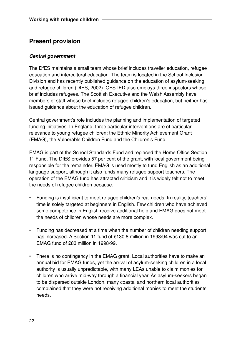## **Present provision**

#### **Central government**

The DfES maintains a small team whose brief includes traveller education, refugee education and intercultural education. The team is located in the School Inclusion Division and has recently published guidance on the education of asylum-seeking and refugee children (DfES, 2002). OFSTED also employs three inspectors whose brief includes refugees. The Scottish Executive and the Welsh Assembly have members of staff whose brief includes refugee children's education, but neither has issued guidance about the education of refugee children.

Central government's role includes the planning and implementation of targeted funding initiatives. In England, three particular interventions are of particular relevance to young refugee children: the Ethnic Minority Achievement Grant (EMAG), the Vulnerable Children Fund and the Children's Fund.

EMAG is part of the School Standards Fund and replaced the Home Office Section 11 Fund. The DfES provides 57 per cent of the grant, with local government being responsible for the remainder. EMAG is used mostly to fund English as an additional language support, although it also funds many refugee support teachers. The operation of the EMAG fund has attracted criticism and it is widely felt not to meet the needs of refugee children because:

- Funding is insufficient to meet refugee children's real needs. In reality, teachers' time is solely targeted at beginners in English. Few children who have achieved some competence in English receive additional help and EMAG does not meet the needs of children whose needs are more complex.
- Funding has decreased at a time when the number of children needing support has increased. A Section 11 fund of £130.8 million in 1993/94 was cut to an EMAG fund of £83 million in 1998/99.
- There is no contingency in the EMAG grant. Local authorities have to make an annual bid for EMAG funds, yet the arrival of asylum-seeking children in a local authority is usually unpredictable, with many LEAs unable to claim monies for children who arrive mid-way through a financial year. As asylum-seekers began to be dispersed outside London, many coastal and northern local authorities complained that they were not receiving additional monies to meet the students' needs.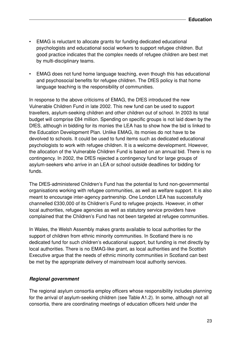- EMAG is reluctant to allocate grants for funding dedicated educational psychologists and educational social workers to support refugee children. But good practice indicates that the complex needs of refugee children are best met by multi-disciplinary teams.
- EMAG does not fund home language teaching, even though this has educational and psychosocial benefits for refugee children. The DfES policy is that home language teaching is the responsibility of communities.

In response to the above criticisms of EMAG, the DfES introduced the new Vulnerable Children Fund in late 2002. This new fund can be used to support travellers, asylum-seeking children and other children out of school. In 2003 its total budget will comprise £84 million. Spending on specific groups is not laid down by the DfES, although in bidding for its monies the LEA has to show how the bid is linked to the Education Development Plan. Unlike EMAG, its monies do not have to be devolved to schools. It could be used to fund items such as dedicated educational psychologists to work with refugee children. It is a welcome development. However, the allocation of the Vulnerable Children Fund is based on an annual bid. There is no contingency. In 2002, the DfES rejected a contingency fund for large groups of asylum-seekers who arrive in an LEA or school outside deadlines for bidding for funds.

The DfES-administered Children's Fund has the potential to fund non-governmental organisations working with refugee communities, as well as welfare support. It is also meant to encourage inter-agency partnership. One London LEA has successfully channelled £330,000 of its Children's Fund to refugee projects. However, in other local authorities, refugee agencies as well as statutory service providers have complained that the Children's Fund has not been targeted at refugee communities.

In Wales, the Welsh Assembly makes grants available to local authorities for the support of children from ethnic minority communities. In Scotland there is no dedicated fund for such children's educational support, but funding is met directly by local authorities. There is no EMAG-like grant, as local authorities and the Scottish Executive argue that the needs of ethnic minority communities in Scotland can best be met by the appropriate delivery of mainstream local authority services.

#### **Regional government**

The regional asylum consortia employ officers whose responsibility includes planning for the arrival of asylum-seeking children (see Table A1.2). In some, although not all consortia, there are coordinating meetings of education officers held under the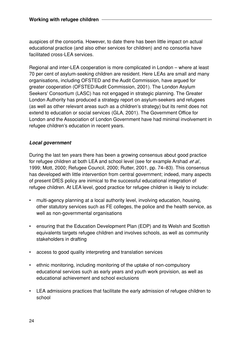auspices of the consortia. However, to date there has been little impact on actual educational practice (and also other services for children) and no consortia have facilitated cross-LEA services.

Regional and inter-LEA cooperation is more complicated in London – where at least 70 per cent of asylum-seeking children are resident. Here LEAs are small and many organisations, including OFSTED and the Audit Commission, have argued for greater cooperation (OFSTED/Audit Commission, 2001). The London Asylum Seekers' Consortium (LASC) has not engaged in strategic planning. The Greater London Authority has produced a strategy report on asylum-seekers and refugees (as well as other relevant areas such as a children's strategy) but its remit does not extend to education or social services (GLA, 2001). The Government Office for London and the Association of London Government have had minimal involvement in refugee children's education in recent years.

#### **Local government**

During the last ten years there has been a growing consensus about good practice for refugee children at both LEA and school level (see for example Arshad et al., 1999; Mott, 2000; Refugee Council, 2000; Rutter, 2001, pp. 74–83). This consensus has developed with little intervention from central government; indeed, many aspects of present DfES policy are inimical to the successful educational integration of refugee children. At LEA level, good practice for refugee children is likely to include:

- multi-agency planning at a local authority level, involving education, housing, other statutory services such as FE colleges, the police and the health service, as well as non-governmental organisations
- ensuring that the Education Development Plan (EDP) and its Welsh and Scottish equivalents targets refugee children and involves schools, as well as community stakeholders in drafting
- access to good quality interpreting and translation services
- ethnic monitoring, including monitoring of the uptake of non-compulsory educational services such as early years and youth work provision, as well as educational achievement and school exclusions
- LEA admissions practices that facilitate the early admission of refugee children to school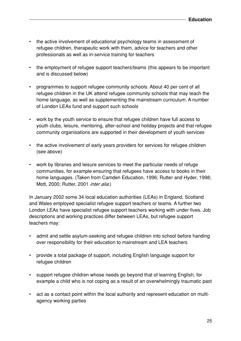- the active involvement of educational psychology teams in assessment of refugee children, therapeutic work with them, advice for teachers and other professionals as well as in-service training for teachers
- the employment of refugee support teachers/teams (this appears to be important and is discussed below)
- programmes to support refugee community schools. About 40 per cent of all refugee children in the UK attend refugee community schools that may teach the home language, as well as supplementing the mainstream curriculum. A number of London LEAs fund and support such schools
- work by the youth service to ensure that refugee children have full access to youth clubs, leisure, mentoring, after-school and holiday projects and that refugee community organisations are supported in their development of youth services
- the active involvement of early years providers for services for refugee children (see above)
- work by libraries and leisure services to meet the particular needs of refuge communities, for example ensuring that refugees have access to books in their home languages. (Taken from Camden Education, 1996; Rutter and Hyder, 1998; Mott, 2000; Rutter, 2001 *inter alia.*)

In January 2002 some 34 local education authorities (LEAs) in England, Scotland and Wales employed specialist refugee support teachers or teams. A further two London LEAs have specialist refugee support teachers working with under fives. Job descriptions and working practices differ between LEAs, but refugee support teachers may:

- admit and settle asylum-seeking and refugee children into school before handing over responsibility for their education to mainstream and LEA teachers
- provide a total package of support, including English language support for refugee children
- support refugee children whose needs go beyond that of learning English, for example a child who is not coping as a result of an overwhelmingly traumatic past
- act as a contact point within the local authority and represent education on multiagency working parties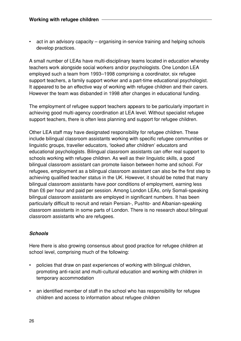• act in an advisory capacity – organising in-service training and helping schools develop practices.

A small number of LEAs have multi-disciplinary teams located in education whereby teachers work alongside social workers and/or psychologists. One London LEA employed such a team from 1993–1998 comprising a coordinator, six refugee support teachers, a family support worker and a part-time educational psychologist. It appeared to be an effective way of working with refugee children and their carers. However the team was disbanded in 1998 after changes in educational funding.

The employment of refugee support teachers appears to be particularly important in achieving good multi-agency coordination at LEA level. Without specialist refugee support teachers, there is often less planning and support for refugee children.

Other LEA staff may have designated responsibility for refugee children. These include bilingual classroom assistants working with specific refugee communities or linguistic groups, traveller educators, 'looked after children' educators and educational psychologists. Bilingual classroom assistants can offer real support to schools working with refugee children. As well as their linguistic skills, a good bilingual classroom assistant can promote liaison between home and school. For refugees, employment as a bilingual classroom assistant can also be the first step to achieving qualified teacher status in the UK. However, it should be noted that many bilingual classroom assistants have poor conditions of employment, earning less than £6 per hour and paid per session. Among London LEAs, only Somali-speaking bilingual classroom assistants are employed in significant numbers. It has been particularly difficult to recruit and retain Persian-, Pushto- and Albanian-speaking classroom assistants in some parts of London. There is no research about bilingual classroom assistants who are refugees.

#### **Schools**

Here there is also growing consensus about good practice for refugee children at school level, comprising much of the following:

- policies that draw on past experiences of working with bilingual children, promoting anti-racist and multi-cultural education and working with children in temporary accommodation
- an identified member of staff in the school who has responsibility for refugee children and access to information about refugee children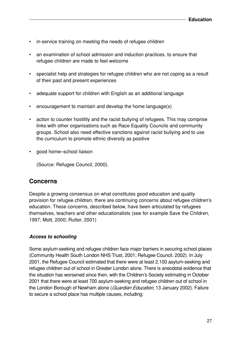- in-service training on meeting the needs of refugee children
- an examination of school admission and induction practices, to ensure that refugee children are made to feel welcome
- specialist help and strategies for refugee children who are not coping as a result of their past and present experiences
- adequate support for children with English as an additional language
- encouragement to maintain and develop the home language(s)
- action to counter hostility and the racist bullying of refugees. This may comprise links with other organisations such as Race Equality Councils and community groups. School also need effective sanctions against racist bullying and to use the curriculum to promote ethnic diversity as positive
- good home–school liaison

(Source: Refugee Council, 2000).

### **Concerns**

Despite a growing consensus on what constitutes good education and quality provision for refugee children, there are continuing concerns about refugee children's education. These concerns, described below, have been articulated by refugees themselves, teachers and other educationalists (see for example Save the Children, 1997; Mott, 2000; Rutter, 2001)

#### **Access to schooling**

Some asylum-seeking and refugee children face major barriers in securing school places (Community Health South London NHS Trust, 2001; Refugee Council, 2002). In July 2001, the Refugee Council estimated that there were at least 2,100 asylum-seeking and refugee children out of school in Greater London alone. There is anecdotal evidence that the situation has worsened since then, with the Children's Society estimating in October 2001 that there were at least 700 asylum-seeking and refugee children out of school in the London Borough of Newham alone (Guardian Education, 13 January 2002). Failure to secure a school place has multiple causes, including: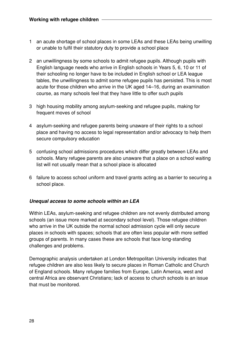- 1 an acute shortage of school places in some LEAs and these LEAs being unwilling or unable to fulfil their statutory duty to provide a school place
- 2 an unwillingness by some schools to admit refugee pupils. Although pupils with English language needs who arrive in English schools in Years 5, 6, 10 or 11 of their schooling no longer have to be included in English school or LEA league tables, the unwillingness to admit some refugee pupils has persisted. This is most acute for those children who arrive in the UK aged 14–16, during an examination course, as many schools feel that they have little to offer such pupils
- 3 high housing mobility among asylum-seeking and refugee pupils, making for frequent moves of school
- 4 asylum-seeking and refugee parents being unaware of their rights to a school place and having no access to legal representation and/or advocacy to help them secure compulsory education
- 5 confusing school admissions procedures which differ greatly between LEAs and schools. Many refugee parents are also unaware that a place on a school waiting list will not usually mean that a school place is allocated
- 6 failure to access school uniform and travel grants acting as a barrier to securing a school place.

#### **Unequal access to some schools within an LEA**

Within LEAs, asylum-seeking and refugee children are not evenly distributed among schools (an issue more marked at secondary school level). Those refugee children who arrive in the UK outside the normal school admission cycle will only secure places in schools with spaces; schools that are often less popular with more settled groups of parents. In many cases these are schools that face long-standing challenges and problems.

Demographic analysis undertaken at London Metropolitan University indicates that refugee children are also less likely to secure places in Roman Catholic and Church of England schools. Many refugee families from Europe, Latin America, west and central Africa are observant Christians; lack of access to church schools is an issue that must be monitored.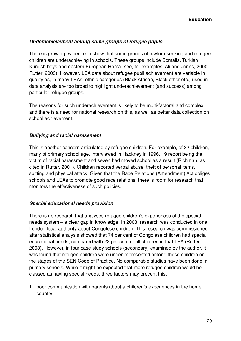#### **Underachievement among some groups of refugee pupils**

There is growing evidence to show that some groups of asylum-seeking and refugee children are underachieving in schools. These groups include Somalis, Turkish Kurdish boys and eastern European Roma (see, for examples, Ali and Jones, 2000; Rutter, 2003). However, LEA data about refugee pupil achievement are variable in quality as, in many LEAs, ethnic categories (Black African, Black other etc.) used in data analysis are too broad to highlight underachievement (and success) among particular refugee groups.

The reasons for such underachievement is likely to be multi-factoral and complex and there is a need for national research on this, as well as better data collection on school achievement.

#### **Bullying and racial harassment**

This is another concern articulated by refugee children. For example, of 32 children, many of primary school age, interviewed in Hackney in 1996, 19 report being the victim of racial harassment and seven had moved school as a result (Richman, as cited in Rutter, 2001). Children reported verbal abuse, theft of personal items, spitting and physical attack. Given that the Race Relations (Amendment) Act obliges schools and LEAs to promote good race relations, there is room for research that monitors the effectiveness of such policies.

#### **Special educational needs provision**

There is no research that analyses refugee children's experiences of the special needs system – a clear gap in knowledge. In 2003, research was conducted in one London local authority about Congolese children. This research was commissioned after statistical analysis showed that 74 per cent of Congolese children had special educational needs, compared with 22 per cent of all children in that LEA (Rutter, 2003). However, in four case study schools (secondary) examined by the author, it was found that refugee children were under-represented among those children on the stages of the SEN Code of Practice. No comparable studies have been done in primary schools. While it might be expected that more refugee children would be classed as having special needs, three factors may prevent this:

1 poor communication with parents about a children's experiences in the home country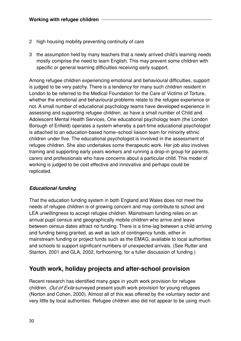- 2 high housing mobility preventing continuity of care
- 3 the assumption held by many teachers that a newly arrived child's learning needs mostly comprise the need to learn English. This may prevent some children with specific or general learning difficulties receiving early support.

Among refugee children experiencing emotional and behavioural difficulties, support is judged to be very patchy. There is a tendency for many such children resident in London to be referred to the Medical Foundation for the Care of Victims of Torture, whether the emotional and behavioural problems relate to the refugee experience or not. A small number of educational psychology teams have developed experience in assessing and supporting refugee children, as have a small number of Child and Adolescent Mental Health Services. One educational psychology team (the London Borough of Enfield) operates a system whereby a part-time educational psychologist is attached to an education-based home–school liaison team for minority ethnic children under five. The educational psychologist is involved in the assessment of refugee children. She also undertakes some therapeutic work. Her job also involves training and supporting early years workers and running a drop-in group for parents, carers and professionals who have concerns about a particular child. This model of working is judged to be cost effective and innovative and perhaps could be replicated.

#### **Educational funding**

That the education funding system in both England and Wales does not meet the needs of refugee children is of growing concern and may contribute to school and LEA unwillingness to accept refugee children. Mainstream funding relies on an annual pupil census and geographically mobile children who arrive and leave between census dates attract no funding. There is a time-lag between a child arriving and funding being granted, as well as lack of contingency funds, either in mainstream funding or project funds such as the EMAG, available to local authorities and schools to support significant numbers of unexpected arrivals. (See Rutter and Stanton, 2001 and GLA, 2002, forthcoming, for a fuller discussion of funding.)

### **Youth work, holiday projects and after-school provision**

Recent research has identified many gaps in youth work provision for refugee children. Out of Exile surveyed present youth work provision for young refugees (Norton and Cohen, 2000). Almost all of this was offered by the voluntary sector and very little by local authorities. Refugee children also did not appear to be using much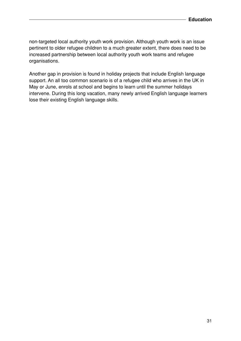non-targeted local authority youth work provision. Although youth work is an issue pertinent to older refugee children to a much greater extent, there does need to be increased partnership between local authority youth work teams and refugee organisations.

Another gap in provision is found in holiday projects that include English language support. An all too common scenario is of a refugee child who arrives in the UK in May or June, enrols at school and begins to learn until the summer holidays intervene. During this long vacation, many newly arrived English language learners lose their existing English language skills.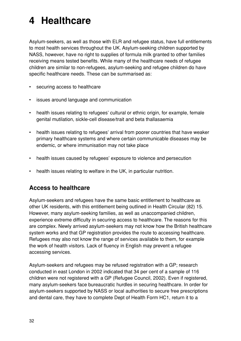# **4 Healthcare**

Asylum-seekers, as well as those with ELR and refugee status, have full entitlements to most health services throughout the UK. Asylum-seeking children supported by NASS, however, have no right to supplies of formula milk granted to other families receiving means tested benefits. While many of the healthcare needs of refugee children are similar to non-refugees, asylum-seeking and refugee children do have specific healthcare needs. These can be summarised as:

- securing access to healthcare
- issues around language and communication
- health issues relating to refugees' cultural or ethnic origin, for example, female genital mutilation, sickle-cell disease/trait and beta thallasaemia
- health issues relating to refugees' arrival from poorer countries that have weaker primary healthcare systems and where certain communicable diseases may be endemic, or where immunisation may not take place
- health issues caused by refugees' exposure to violence and persecution
- health issues relating to welfare in the UK, in particular nutrition.

### **Access to healthcare**

Asylum-seekers and refugees have the same basic entitlement to healthcare as other UK residents, with this entitlement being outlined in Health Circular (82) 15. However, many asylum-seeking families, as well as unaccompanied children, experience extreme difficulty in securing access to healthcare. The reasons for this are complex. Newly arrived asylum-seekers may not know how the British healthcare system works and that GP registration provides the route to accessing healthcare. Refugees may also not know the range of services available to them, for example the work of health visitors. Lack of fluency in English may prevent a refugee accessing services.

Asylum-seekers and refugees may be refused registration with a GP; research conducted in east London in 2002 indicated that 34 per cent of a sample of 116 children were not registered with a GP (Refugee Council, 2002). Even if registered, many asylum-seekers face bureaucratic hurdles in securing healthcare. In order for asylum-seekers supported by NASS or local authorities to secure free prescriptions and dental care, they have to complete Dept of Health Form HC1, return it to a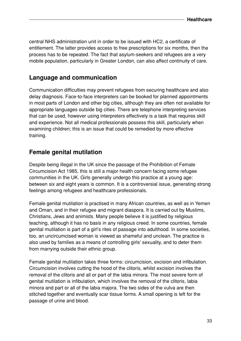central NHS administration unit in order to be issued with HC2, a certificate of entitlement. The latter provides access to free prescriptions for six months, then the process has to be repeated. The fact that asylum-seekers and refugees are a very mobile population, particularly in Greater London, can also affect continuity of care.

## **Language and communication**

Communication difficulties may prevent refugees from securing healthcare and also delay diagnosis. Face-to-face interpreters can be booked for planned appointments in most parts of London and other big cities, although they are often not available for appropriate languages outside big cities. There are telephone interpreting services that can be used, however using interpreters effectively is a task that requires skill and experience. Not all medical professionals possess this skill, particularly when examining children; this is an issue that could be remedied by more effective training.

#### **Female genital mutilation**

Despite being illegal in the UK since the passage of the Prohibition of Female Circumcision Act 1985, this is still a major health concern facing some refugee communities in the UK. Girls generally undergo this practice at a young age: between six and eight years is common. It is a controversial issue, generating strong feelings among refugees and healthcare professionals.

Female genital mutilation is practised in many African countries, as well as in Yemen and Oman, and in their refugee and migrant diaspora. It is carried out by Muslims, Christians, Jews and animists. Many people believe it is justified by religious teaching, although it has no basis in any religious creed. In some countries, female genital mutilation is part of a girl's rites of passage into adulthood. In some societies, too, an uncircumcised woman is viewed as shameful and unclean. The practice is also used by families as a means of controlling girls' sexuality, and to deter them from marrying outside their ethnic group.

Female genital mutilation takes three forms: circumcision, excision and infibulation. Circumcision involves cutting the hood of the clitoris, whilst excision involves the removal of the clitoris and all or part of the labia minora. The most severe form of genital mutilation is infibulation, which involves the removal of the clitoris, labia minora and part or all of the labia majora. The two sides of the vulva are then stitched together and eventually scar tissue forms. A small opening is left for the passage of urine and blood.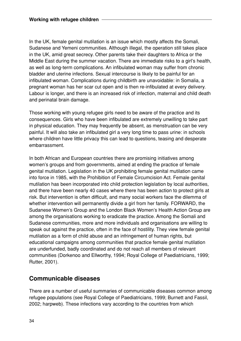In the UK, female genital mutilation is an issue which mostly affects the Somali, Sudanese and Yemeni communities. Although illegal, the operation still takes place in the UK, amid great secrecy. Other parents take their daughters to Africa or the Middle East during the summer vacation. There are immediate risks to a girl's health, as well as long-term complications. An infibulated woman may suffer from chronic bladder and uterine infections. Sexual intercourse is likely to be painful for an infibulated woman. Complications during childbirth are unavoidable: in Somalia, a pregnant woman has her scar cut open and is then re-infibulated at every delivery. Labour is longer, and there is an increased risk of infection, maternal and child death and perinatal brain damage.

Those working with young refugee girls need to be aware of the practice and its consequences. Girls who have been infibulated are extremely unwilling to take part in physical education. They may frequently be absent, as menstruation can be very painful. It will also take an infibulated girl a very long time to pass urine: in schools where children have little privacy this can lead to questions, teasing and desperate embarrassment.

In both African and European countries there are promising initiatives among women's groups and from governments, aimed at ending the practice of female genital mutilation. Legislation in the UK prohibiting female genital mutilation came into force in 1985, with the Prohibition of Female Circumcision Act. Female genital mutilation has been incorporated into child protection legislation by local authorities, and there have been nearly 40 cases where there has been action to protect girls at risk. But intervention is often difficult, and many social workers face the dilemma of whether intervention will permanently divide a girl from her family. FORWARD, the Sudanese Women's Group and the London Black Women's Health Action Group are among the organisations working to eradicate the practice. Among the Somali and Sudanese communities, more and more individuals and organisations are willing to speak out against the practice, often in the face of hostility. They view female genital mutilation as a form of child abuse and an infringement of human rights, but educational campaigns among communities that practice female genital mutilation are underfunded, badly coordinated and do not reach all members of relevant communities (Dorkenoo and Ellworthy, 1994; Royal College of Paediatricians, 1999; Rutter, 2001).

## **Communicable diseases**

There are a number of useful summaries of communicable diseases common among refugee populations (see Royal College of Paediatricians, 1999; Burnett and Fassil, 2002; harpweb). These infections vary according to the countries from which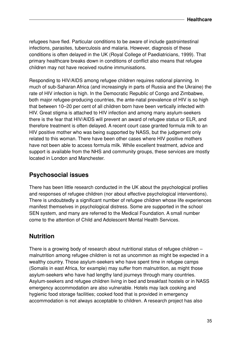refugees have fled. Particular conditions to be aware of include gastrointestinal infections, parasites, tuberculosis and malaria. However, diagnosis of these conditions is often delayed in the UK (Royal College of Paediatricians, 1999). That primary healthcare breaks down in conditions of conflict also means that refugee children may not have received routine immunisations.

Responding to HIV/AIDS among refugee children requires national planning. In much of sub-Saharan Africa (and increasingly in parts of Russia and the Ukraine) the rate of HIV infection is high. In the Democratic Republic of Congo and Zimbabwe, both major refugee-producing countries, the ante-natal prevalence of HIV is so high that between 10–20 per cent of all children born have been vertically infected with HIV. Great stigma is attached to HIV infection and among many asylum-seekers there is the fear that HIV/AIDS will prevent an award of refugee status or ELR, and therefore treatment is often delayed. A recent court case granted formula milk to an HIV positive mother who was being supported by NASS, but the judgement only related to this woman. There have been other cases where HIV positive mothers have not been able to access formula milk. While excellent treatment, advice and support is available from the NHS and community groups, these services are mostly located in London and Manchester.

### **Psychosocial issues**

There has been little research conducted in the UK about the psychological profiles and responses of refugee children (nor about effective psychological interventions). There is undoubtedly a significant number of refugee children whose life experiences manifest themselves in psychological distress. Some are supported in the school SEN system, and many are referred to the Medical Foundation. A small number come to the attention of Child and Adolescent Mental Health Services.

## **Nutrition**

There is a growing body of research about nutritional status of refugee children – malnutrition among refugee children is not as uncommon as might be expected in a wealthy country. Those asylum-seekers who have spent time in refugee camps (Somalis in east Africa, for example) may suffer from malnutrition, as might those asylum-seekers who have had lengthy land journeys through many countries. Asylum-seekers and refugee children living in bed and breakfast hostels or in NASS emergency accommodation are also vulnerable. Hotels may lack cooking and hygienic food storage facilities; cooked food that is provided in emergency accommodation is not always acceptable to children. A research project has also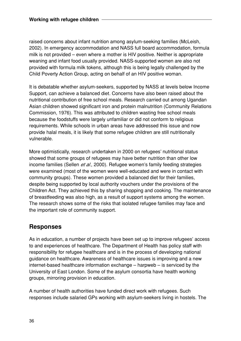raised concerns about infant nutrition among asylum-seeking families (McLeish, 2002). In emergency accommodation and NASS full board accommodation, formula milk is not provided – even where a mother is HIV positive. Neither is appropriate weaning and infant food usually provided. NASS-supported women are also not provided with formula milk tokens, although this is being legally challenged by the Child Poverty Action Group, acting on behalf of an HIV positive woman.

It is debatable whether asylum-seekers, supported by NASS at levels below Income Support, can achieve a balanced diet. Concerns have also been raised about the nutritional contribution of free school meals. Research carried out among Ugandan Asian children showed significant iron and protein malnutrition (Community Relations Commission, 1976). This was attributed to children wasting free school meals because the foodstuffs were largely unfamiliar or did not conform to religious requirements. While schools in urban areas have addressed this issue and now provide halal meals, it is likely that some refugee children are still nutritionally vulnerable.

More optimistically, research undertaken in 2000 on refugees' nutritional status showed that some groups of refugees may have better nutrition than other low income families (Sellen et al., 2000). Refugee women's family feeding strategies were examined (most of the women were well-educated and were in contact with community groups). These women provided a balanced diet for their families, despite being supported by local authority vouchers under the provisions of the Children Act. They achieved this by sharing shopping and cooking. The maintenance of breastfeeding was also high, as a result of support systems among the women. The research shows some of the risks that isolated refugee families may face and the important role of community support.

### **Responses**

As in education, a number of projects have been set up to improve refugees' access to and experiences of healthcare. The Department of Health has policy staff with responsibility for refugee healthcare and is in the process of developing national guidance on healthcare. Awareness of healthcare issues is improving and a new internet-based healthcare information exchange – harpweb – is serviced by the University of East London. Some of the asylum consortia have health working groups, mirroring provision in education.

A number of health authorities have funded direct work with refugees. Such responses include salaried GPs working with asylum-seekers living in hostels. The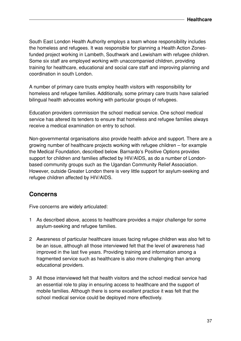South East London Health Authority employs a team whose responsibility includes the homeless and refugees. It was responsible for planning a Health Action Zonesfunded project working in Lambeth, Southwark and Lewisham with refugee children. Some six staff are employed working with unaccompanied children, providing training for healthcare, educational and social care staff and improving planning and coordination in south London.

A number of primary care trusts employ health visitors with responsibility for homeless and refugee families. Additionally, some primary care trusts have salaried bilingual health advocates working with particular groups of refugees.

Education providers commission the school medical service. One school medical service has altered its tenders to ensure that homeless and refugee families always receive a medical examination on entry to school.

Non-governmental organisations also provide health advice and support. There are a growing number of healthcare projects working with refugee children – for example the Medical Foundation, described below. Barnardo's Positive Options provides support for children and families affected by HIV/AIDS, as do a number of Londonbased community groups such as the Ugandan Community Relief Association. However, outside Greater London there is very little support for asylum-seeking and refugee children affected by HIV/AIDS.

### **Concerns**

Five concerns are widely articulated:

- 1 As described above, access to healthcare provides a major challenge for some asylum-seeking and refugee families.
- 2 Awareness of particular healthcare issues facing refugee children was also felt to be an issue, although all those interviewed felt that the level of awareness had improved in the last five years. Providing training and information among a fragmented service such as healthcare is also more challenging than among educational providers.
- 3 All those interviewed felt that health visitors and the school medical service had an essential role to play in ensuring access to healthcare and the support of mobile families. Although there is some excellent practice it was felt that the school medical service could be deployed more effectively.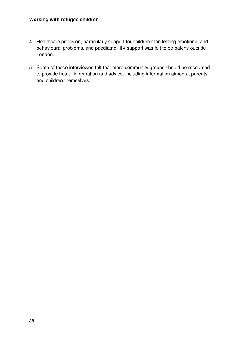- 4 Healthcare provision, particularly support for children manifesting emotional and behavioural problems, and paediatric HIV support was felt to be patchy outside London.
- 5 Some of those interviewed felt that more community groups should be resourced to provide health information and advice, including information aimed at parents and children themselves.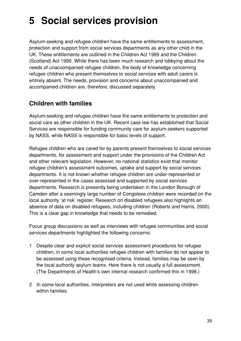# **5 Social services provision**

Asylum-seeking and refugee children have the same entitlements to assessment, protection and support from social services departments as any other child in the UK. These entitlements are outlined in the Children Act 1989 and the Children (Scotland) Act 1995. While there has been much research and lobbying about the needs of unaccompanied refugee children, the body of knowledge concerning refugee children who present themselves to social services with adult carers is entirely absent. The needs, provision and concerns about unaccompanied and accompanied children are, therefore, discussed separately.

## **Children with families**

Asylum-seeking and refugee children have the same entitlements to protection and social care as other children in the UK. Recent case law has established that Social Services are responsible for funding community care for asylum-seekers supported by NASS, while NASS is responsible for basic levels of support.

Refugee children who are cared for by parents present themselves to social services departments, for assessment and support under the provisions of the Children Act and other relevant legislation. However, no national statistics exist that monitor refugee children's assessment outcomes, uptake and support by social services departments. It is not known whether refugee children are under-represented or over-represented in the cases assessed and supported by social services departments. Research is presently being undertaken in the London Borough of Camden after a seemingly large number of Congolese children were recorded on the local authority 'at risk' register. Research on disabled refugees also highlights an absence of data on disabled refugees, including children (Roberts and Harris, 2000). This is a clear gap in knowledge that needs to be remedied.

Focus group discussions as well as interviews with refugee communities and social services departments highlighted the following concerns:

- 1 Despite clear and explicit social services assessment procedures for refugee children, in some local authorities refugee children with families do not appear to be assessed using these recognised criteria. Instead, families may be seen by the local authority asylum teams. Here there is not usually a full assessment. (The Departments of Health's own internal research confirmed this in 1998.)
- 2 In some local authorities, interpreters are not used while assessing children within families.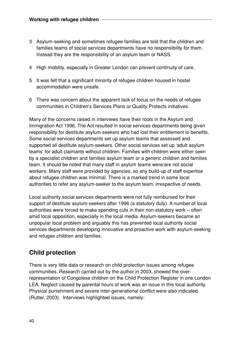- 3 Asylum-seeking and sometimes refugee families are told that the children and families teams of social services departments have no responsibility for them. Instead they are the responsibility of an asylum team or NASS.
- 4 High mobility, especially in Greater London can prevent continuity of care.
- 5 It was felt that a significant minority of refugee children housed in hostel accommodation were unsafe.
- 6 There was concern about the apparent lack of focus on the needs of refugee communities in Children's Services Plans or Quality Protects initiatives.

Many of the concerns raised in interviews have their roots in the Asylum and Immigration Act 1996. The Act resulted in social services departments being given responsibility for destitute asylum-seekers who had lost their entitlement to benefits. Some social services departments set up asylum teams that assessed and supported all destitute asylum-seekers. Other social services set up 'adult asylum teams' for adult claimants without children. Families with children were either seen by a specialist children and families asylum team or a generic children and families team. It should be noted that many staff in asylum teams were/are not social workers. Many staff were provided by agencies, so any build-up of staff expertise about refugee children was minimal. There is a marked trend in some local authorities to refer any asylum-seeker to the asylum team, irrespective of needs.

Local authority social services departments were not fully reimbursed for their support of destitute asylum-seekers after 1996 (a statutory duty). A number of local authorities were forced to make spending cuts in their non-statutory work – often amid local opposition, especially in the local media. Asylum-seekers became an unpopular local problem and arguably this has prevented local authority social services departments developing innovative and proactive work with asylum-seeking and refugee children and families.

## **Child protection**

There is very little data or research on child protection issues among refugee communities. Research carried out by the author in 2003, showed the overrepresentation of Congolese children on the Child Protection Register in one London LEA. Neglect caused by parental hours of work was an issue in this local authority. Physical punishment and severe inter-generational conflict were also indicated (Rutter, 2003). Interviews highlighted issues, namely: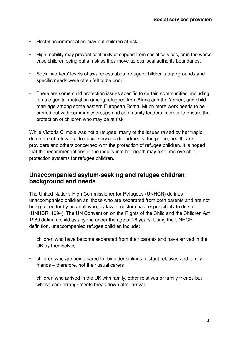- Hostel accommodation may put children at risk.
- High mobility may prevent continuity of support from social services, or in the worse case children being put at risk as they move across local authority boundaries.
- Social workers' levels of awareness about refugee children's backgrounds and specific needs were often felt to be poor.
- There are some child protection issues specific to certain communities, including female genital mutilation among refugees from Africa and the Yemen, and child marriage among some eastern European Roma. Much more work needs to be carried out with community groups and community leaders in order to ensure the protection of children who may be at risk.

While Victoria Climbie was not a refugee, many of the issues raised by her tragic death are of relevance to social services departments, the police, healthcare providers and others concerned with the protection of refugee children. It is hoped that the recommendations of the inquiry into her death may also improve child protection systems for refugee children.

#### **Unaccompanied asylum-seeking and refugee children: background and needs**

The United Nations High Commissioner for Refugees (UNHCR) defines unaccompanied children as 'those who are separated from both parents and are not being cared for by an adult who, by law or custom has responsibility to do so' (UNHCR, 1994). The UN Convention on the Rights of the Child and the Children Act 1989 define a child as anyone under the age of 18 years. Using the UNHCR definition, unaccompanied refugee children include:

- children who have become separated from their parents and have arrived in the UK by themselves
- children who are being cared for by older siblings, distant relatives and family friends – therefore, not their usual carers
- children who arrived in the UK with family, other relatives or family friends but whose care arrangements break down after arrival.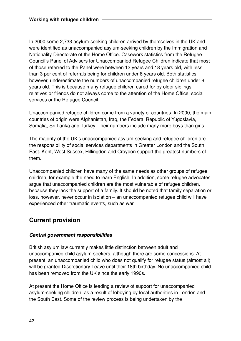In 2000 some 2,733 asylum-seeking children arrived by themselves in the UK and were identified as unaccompanied asylum-seeking children by the Immigration and Nationality Directorate of the Home Office. Casework statistics from the Refugee Council's Panel of Advisers for Unaccompanied Refugee Children indicate that most of those referred to the Panel were between 13 years and 18 years old, with less than 3 per cent of referrals being for children under 8 years old. Both statistics, however, underestimate the numbers of unaccompanied refugee children under 8 years old. This is because many refugee children cared for by older siblings, relatives or friends do not always come to the attention of the Home Office, social services or the Refugee Council.

Unaccompanied refugee children come from a variety of countries. In 2000, the main countries of origin were Afghanistan, Iraq, the Federal Republic of Yugoslavia, Somalia, Sri Lanka and Turkey. Their numbers include many more boys than girls.

The majority of the UK's unaccompanied asylum-seeking and refugee children are the responsibility of social services departments in Greater London and the South East. Kent, West Sussex, Hillingdon and Croydon support the greatest numbers of them.

Unaccompanied children have many of the same needs as other groups of refugee children, for example the need to learn English. In addition, some refugee advocates argue that unaccompanied children are the most vulnerable of refugee children, because they lack the support of a family. It should be noted that family separation or loss, however, never occur in isolation – an unaccompanied refugee child will have experienced other traumatic events, such as war.

## **Current provision**

#### **Central government responsibilities**

British asylum law currently makes little distinction between adult and unaccompanied child asylum-seekers, although there are some concessions. At present, an unaccompanied child who does not qualify for refugee status (almost all) will be granted Discretionary Leave until their 18th birthday. No unaccompanied child has been removed from the UK since the early 1990s.

At present the Home Office is leading a review of support for unaccompanied asylum-seeking children, as a result of lobbying by local authorities in London and the South East. Some of the review process is being undertaken by the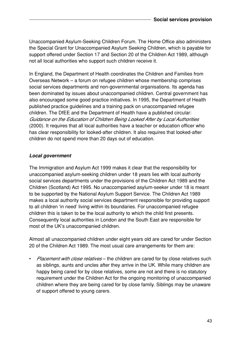Unaccompanied Asylum-Seeking Children Forum. The Home Office also administers the Special Grant for Unaccompanied Asylum Seeking Children, which is payable for support offered under Section 17 and Section 20 of the Children Act 1989, although not all local authorities who support such children receive it.

In England, the Department of Health coordinates the Children and Families from Overseas Network – a forum on refugee children whose membership comprises social services departments and non-governmental organisations. Its agenda has been dominated by issues about unaccompanied children. Central government has also encouraged some good practice initiatives. In 1995, the Department of Health published practice guidelines and a training pack on unaccompanied refugee children. The DfEE and the Department of Health have a published circular: Guidance on the Education of Children Being Looked After by Local Authorities (2000). It requires that all local authorities have a teacher or education officer who has clear responsibility for looked-after children. It also requires that looked-after children do not spend more than 20 days out of education.

#### **Local government**

The Immigration and Asylum Act 1999 makes it clear that the responsibility for unaccompanied asylum-seeking children under 18 years lies with local authority social services departments under the provisions of the Children Act 1989 and the Children (Scotland) Act 1995. No unaccompanied asylum-seeker under 18 is meant to be supported by the National Asylum Support Service. The Children Act 1989 makes a local authority social services department responsible for providing support to all children 'in need' living within its boundaries. For unaccompanied refugee children this is taken to be the local authority to which the child first presents. Consequently local authorities in London and the South East are responsible for most of the UK's unaccompanied children.

Almost all unaccompanied children under eight years old are cared for under Section 20 of the Children Act 1989. The most usual care arrangements for them are:

• Placement with close relatives – the children are cared for by close relatives such as siblings, aunts and uncles after they arrive in the UK. While many children are happy being cared for by close relatives, some are not and there is no statutory requirement under the Children Act for the ongoing monitoring of unaccompanied children where they are being cared for by close family. Siblings may be unaware of support offered to young carers.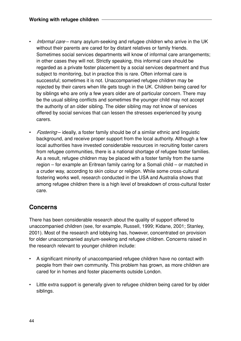- *Informal care* many asylum-seeking and refugee children who arrive in the UK without their parents are cared for by distant relatives or family friends. Sometimes social services departments will know of informal care arrangements; in other cases they will not. Strictly speaking, this informal care should be regarded as a private foster placement by a social services department and thus subject to monitoring, but in practice this is rare. Often informal care is successful; sometimes it is not. Unaccompanied refugee children may be rejected by their carers when life gets tough in the UK. Children being cared for by siblings who are only a few years older are of particular concern. There may be the usual sibling conflicts and sometimes the younger child may not accept the authority of an older sibling. The older sibling may not know of services offered by social services that can lessen the stresses experienced by young carers.
- Fostering ideally, a foster family should be of a similar ethnic and linguistic background, and receive proper support from the local authority. Although a few local authorities have invested considerable resources in recruiting foster carers from refugee communities, there is a national shortage of refugee foster families. As a result, refugee children may be placed with a foster family from the same region – for example an Eritrean family caring for a Somali child – or matched in a cruder way, according to skin colour or religion. While some cross-cultural fostering works well, research conducted in the USA and Australia shows that among refugee children there is a high level of breakdown of cross-cultural foster care.

## **Concerns**

There has been considerable research about the quality of support offered to unaccompanied children (see, for example, Russell, 1999; Kidane, 2001; Stanley, 2001). Most of the research and lobbying has, however, concentrated on provision for older unaccompanied asylum-seeking and refugee children. Concerns raised in the research relevant to younger children include:

- A significant minority of unaccompanied refugee children have no contact with people from their own community. This problem has grown, as more children are cared for in homes and foster placements outside London.
- Little extra support is generally given to refugee children being cared for by older siblings.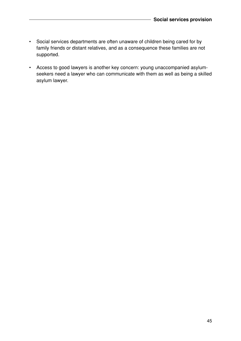- Social services departments are often unaware of children being cared for by family friends or distant relatives, and as a consequence these families are not supported.
- Access to good lawyers is another key concern: young unaccompanied asylumseekers need a lawyer who can communicate with them as well as being a skilled asylum lawyer.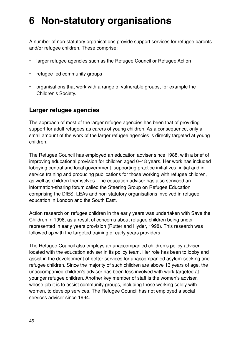## **6 Non-statutory organisations**

A number of non-statutory organisations provide support services for refugee parents and/or refugee children. These comprise:

- larger refugee agencies such as the Refugee Council or Refugee Action
- refugee-led community groups
- organisations that work with a range of vulnerable groups, for example the Children's Society.

#### **Larger refugee agencies**

The approach of most of the larger refugee agencies has been that of providing support for adult refugees as carers of young children. As a consequence, only a small amount of the work of the larger refugee agencies is directly targeted at young children.

The Refugee Council has employed an education adviser since 1988, with a brief of improving educational provision for children aged 0–18 years. Her work has included lobbying central and local government, supporting practice initiatives, initial and inservice training and producing publications for those working with refugee children, as well as children themselves. The education adviser has also serviced an information-sharing forum called the Steering Group on Refugee Education comprising the DfES, LEAs and non-statutory organisations involved in refugee education in London and the South East.

Action research on refugee children in the early years was undertaken with Save the Children in 1998, as a result of concerns about refugee children being underrepresented in early years provision (Rutter and Hyder, 1998). This research was followed up with the targeted training of early years providers.

The Refugee Council also employs an unaccompanied children's policy adviser, located with the education adviser in its policy team. Her role has been to lobby and assist in the development of better services for unaccompanied asylum-seeking and refugee children. Since the majority of such children are above 13 years of age, the unaccompanied children's adviser has been less involved with work targeted at younger refugee children. Another key member of staff is the women's adviser, whose job it is to assist community groups, including those working solely with women, to develop services. The Refugee Council has not employed a social services adviser since 1994.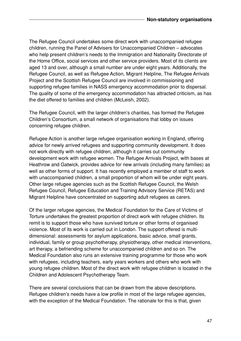The Refugee Council undertakes some direct work with unaccompanied refugee children, running the Panel of Advisers for Unaccompanied Children – advocates who help present children's needs to the Immigration and Nationality Directorate of the Home Office, social services and other service providers. Most of its clients are aged 13 and over, although a small number are under eight years. Additionally, the Refugee Council, as well as Refugee Action, Migrant Helpline, The Refugee Arrivals Project and the Scottish Refugee Council are involved in commissioning and supporting refugee families in NASS emergency accommodation prior to dispersal. The quality of some of the emergency accommodation has attracted criticism, as has the diet offered to families and children (McLeish, 2002).

The Refugee Council, with the larger children's charities, has formed the Refugee Children's Consortium, a small network of organisations that lobby on issues concerning refugee children.

Refugee Action is another large refugee organisation working in England, offering advice for newly arrived refugees and supporting community development. It does not work directly with refugee children, although it carries out community development work with refugee women. The Refugee Arrivals Project, with bases at Heathrow and Gatwick, provides advice for new arrivals (including many families) as well as other forms of support. It has recently employed a member of staff to work with unaccompanied children, a small proportion of whom will be under eight years. Other large refugee agencies such as the Scottish Refugee Council, the Welsh Refugee Council, Refugee Education and Training Advisory Service (RETAS) and Migrant Helpline have concentrated on supporting adult refugees as carers.

Of the larger refugee agencies, the Medical Foundation for the Care of Victims of Torture undertakes the greatest proportion of direct work with refugee children. Its remit is to support those who have survived torture or other forms of organised violence. Most of its work is carried out in London. The support offered is multidimensional: assessments for asylum applications, basic advice, small grants, individual, family or group psychotherapy, physiotherapy, other medical interventions, art therapy, a befriending scheme for unaccompanied children and so on. The Medical Foundation also runs an extensive training programme for those who work with refugees, including teachers, early years workers and others who work with young refugee children. Most of the direct work with refugee children is located in the Children and Adolescent Psychotherapy Team.

There are several conclusions that can be drawn from the above descriptions. Refugee children's needs have a low profile in most of the large refugee agencies, with the exception of the Medical Foundation. The rationale for this is that, given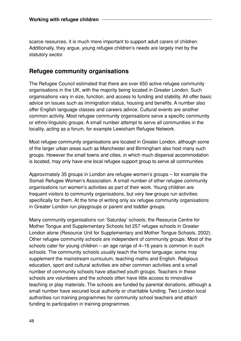scarce resources, it is much more important to support adult carers of children. Additionally, they argue, young refugee children's needs are largely met by the statutory sector.

### **Refugee community organisations**

The Refugee Council estimated that there are over 650 active refugee community organisations in the UK, with the majority being located in Greater London. Such organisations vary in size, function, and access to funding and stability. All offer basic advice on issues such as immigration status, housing and benefits. A number also offer English language classes and careers advice. Cultural events are another common activity. Most refugee community organisations serve a specific community or ethno-linguistic groups. A small number attempt to serve all communities in the locality, acting as a forum, for example Lewisham Refugee Network.

Most refugee community organisations are located in Greater London, although some of the larger urban areas such as Manchester and Birmingham also host many such groups. However the small towns and cities, in which much dispersal accommodation is located, may only have one local refugee support group to serve all communities.

Approximately 35 groups in London are refugee women's groups – for example the Somali Refugee Women's Association. A small number of other refugee community organisations run women's activities as part of their work. Young children are frequent visitors to community organisations, but very few groups run activities specifically for them. At the time of writing only six refugee community organisations in Greater London run playgroups or parent and toddler groups.

Many community organisations run 'Saturday' schools; the Resource Centre for Mother Tongue and Supplementary Schools list 257 refugee schools in Greater London alone (Resource Unit for Supplementary and Mother Tongue Schools, 2002). Other refugee community schools are independent of community groups. Most of the schools cater for young children – an age range of 4–16 years is common in such schools. The community schools usually teach the home language; some may supplement the mainstream curriculum, teaching maths and English. Religious education, sport and cultural activities are other common activities and a small number of community schools have attached youth groups. Teachers in these schools are volunteers and the schools often have little access to innovative teaching or play materials. The schools are funded by parental donations, although a small number have secured local authority or charitable funding. Two London local authorities run training programmes for community school teachers and attach funding to participation in training programmes.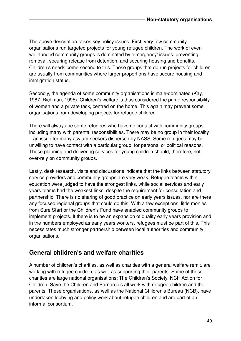The above description raises key policy issues. First, very few community organisations run targeted projects for young refugee children. The work of even well-funded community groups is dominated by 'emergency' issues: preventing removal, securing release from detention, and securing housing and benefits. Children's needs come second to this. Those groups that do run projects for children are usually from communities where larger proportions have secure housing and immigration status.

Secondly, the agenda of some community organisations is male-dominated (Kay, 1987; Richman, 1995). Children's welfare is thus considered the prime responsibility of women and a private task, centred on the home. This again may prevent some organisations from developing projects for refugee children.

There will always be some refugees who have no contact with community groups, including many with parental responsibilities. There may be no group in their locality – an issue for many asylum-seekers dispersed by NASS. Some refugees may be unwilling to have contact with a particular group, for personal or political reasons. Those planning and delivering services for young children should, therefore, not over-rely on community groups.

Lastly, desk research, visits and discussions indicate that the links between statutory service providers and community groups are very weak. Refugee teams within education were judged to have the strongest links, while social services and early years teams had the weakest links, despite the requirement for consultation and partnership. There is no sharing of good practice on early years issues, nor are there any focused regional groups that could do this. With a few exceptions, little monies from Sure Start or the Children's Fund have enabled community groups to implement projects. If there is to be an expansion of quality early years provision and in the numbers employed as early years workers, refugees must be part of this. This necessitates much stronger partnership between local authorities and community organisations.

### **General children's and welfare charities**

A number of children's charities, as well as charities with a general welfare remit, are working with refugee children, as well as supporting their parents. Some of these charities are large national organisations: The Children's Society, NCH Action for Children, Save the Children and Barnardo's all work with refugee children and their parents. These organisations, as well as the National Children's Bureau (NCB), have undertaken lobbying and policy work about refugee children and are part of an informal consortium.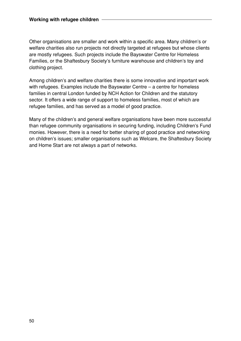Other organisations are smaller and work within a specific area. Many children's or welfare charities also run projects not directly targeted at refugees but whose clients are mostly refugees. Such projects include the Bayswater Centre for Homeless Families, or the Shaftesbury Society's furniture warehouse and children's toy and clothing project.

Among children's and welfare charities there is some innovative and important work with refugees. Examples include the Bayswater Centre – a centre for homeless families in central London funded by NCH Action for Children and the statutory sector. It offers a wide range of support to homeless families, most of which are refugee families, and has served as a model of good practice.

Many of the children's and general welfare organisations have been more successful than refugee community organisations in securing funding, including Children's Fund monies. However, there is a need for better sharing of good practice and networking on children's issues; smaller organisations such as Welcare, the Shaftesbury Society and Home Start are not always a part of networks.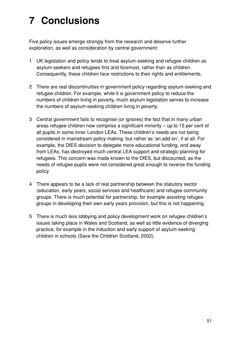# **7 Conclusions**

Five policy issues emerge strongly from the research and deserve further exploration, as well as consideration by central government:

- 1 UK legislation and policy tends to treat asylum-seeking and refugee children as asylum-seekers and refugees first and foremost, rather than as children. Consequently, these children face restrictions to their rights and entitlements.
- 2 There are real discontinuities in government policy regarding asylum-seeking and refugee children. For example, while it is government policy to reduce the numbers of children living in poverty, much asylum legislation serves to increase the numbers of asylum-seeking children living in poverty.
- 3 Central government fails to recognise (or ignores) the fact that in many urban areas refugee children now comprise a significant minority – up to 15 per cent of all pupils in some inner London LEAs. These children's needs are not being considered in mainstream policy making, but rather as 'an add on', if at all. For example, the DfES decision to delegate more educational funding, and away from LEAs, has destroyed much central LEA support and strategic planning for refugees. This concern was made known to the DfES, but discounted, as the needs of refugee pupils were not considered great enough to reverse the funding policy.
- 4 There appears to be a lack of real partnership between the statutory sector (education, early years, social services and healthcare) and refugee community groups. There is much potential for partnership, for example assisting refugee groups in developing their own early years provision, but this is not happening.
- 5 There is much less lobbying and policy development work on refugee children's issues taking place in Wales and Scotland, as well as little evidence of diverging practice, for example in the induction and early support of asylum-seeking children in schools (Save the Children Scotland, 2002).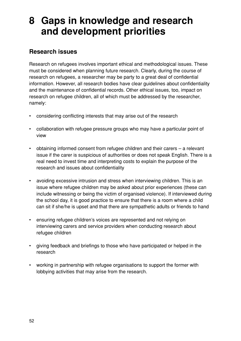## **8 Gaps in knowledge and research and development priorities**

## **Research issues**

Research on refugees involves important ethical and methodological issues. These must be considered when planning future research. Clearly, during the course of research on refugees, a researcher may be party to a great deal of confidential information. However, all research bodies have clear guidelines about confidentiality and the maintenance of confidential records. Other ethical issues, too, impact on research on refugee children, all of which must be addressed by the researcher, namely:

- considering conflicting interests that may arise out of the research
- collaboration with refugee pressure groups who may have a particular point of view
- obtaining informed consent from refugee children and their carers a relevant issue if the carer is suspicious of authorities or does not speak English. There is a real need to invest time and interpreting costs to explain the purpose of the research and issues about confidentiality
- avoiding excessive intrusion and stress when interviewing children. This is an issue where refugee children may be asked about prior experiences (these can include witnessing or being the victim of organised violence). If interviewed during the school day, it is good practice to ensure that there is a room where a child can sit if she/he is upset and that there are sympathetic adults or friends to hand
- ensuring refugee children's voices are represented and not relying on interviewing carers and service providers when conducting research about refugee children
- giving feedback and briefings to those who have participated or helped in the research
- working in partnership with refugee organisations to support the former with lobbying activities that may arise from the research.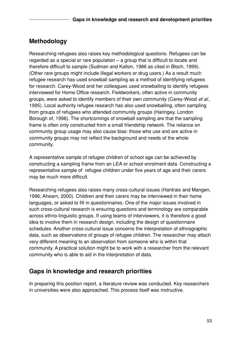## **Methodology**

Researching refugees also raises key methodological questions. Refugees can be regarded as a special or rare population – a group that is difficult to locate and therefore difficult to sample (Sudman and Kalton, 1986 as cited in Bloch, 1999). (Other rare groups might include illegal workers or drug users.) As a result much refugee research has used snowball sampling as a method of identifying refugees for research. Carey-Wood and her colleagues used snowballing to identify refugees interviewed for Home Office research. Fieldworkers, often active in community groups, were asked to identify members of their own community (Carey-Wood et al., 1995). Local authority refugee research has also used snowballing, often sampling from groups of refugees who attended community groups (Haringey, London Borough of, 1998). The shortcomings of snowball sampling are that the sampling frame is often only constructed from a small friendship network. The reliance on community group usage may also cause bias: those who use and are active in community groups may not reflect the background and needs of the whole community.

A representative sample of refugee children of school age can be achieved by constructing a sampling frame from an LEA or school enrolment data. Constructing a representative sample of refugee children under five years of age and their carers may be much more difficult.

Researching refugees also raises many cross-cultural issues (Hantrais and Mangen, 1996; Ahearn, 2000). Children and their carers may be interviewed in their home languages, or asked to fill in questionnaires. One of the major issues involved in such cross-cultural research is ensuring questions and terminology are comparable across ethno-linguistic groups. If using teams of interviewers, it is therefore a good idea to involve them in research design, including the design of questionnaire schedules. Another cross-cultural issue concerns the interpretation of ethnographic data, such as observations of groups of refugee children. The researcher may attach very different meaning to an observation from someone who is within that community. A practical solution might be to work with a researcher from the relevant community who is able to aid in the interpretation of data.

## **Gaps in knowledge and research priorities**

In preparing this position report, a literature review was conducted. Key researchers in universities were also approached. This process itself was instructive.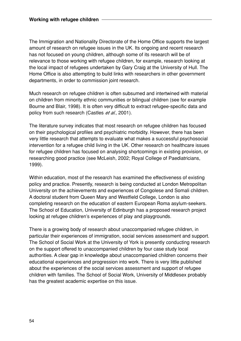The Immigration and Nationality Directorate of the Home Office supports the largest amount of research on refugee issues in the UK. Its ongoing and recent research has not focused on young children, although some of its research will be of relevance to those working with refugee children, for example, research looking at the local impact of refugees undertaken by Gary Craig at the University of Hull. The Home Office is also attempting to build links with researchers in other government departments, in order to commission joint research.

Much research on refugee children is often subsumed and intertwined with material on children from minority ethnic communities or bilingual children (see for example Bourne and Blair, 1998). It is often very difficult to extract refugee-specific data and policy from such research (Castles et al., 2001).

The literature survey indicates that most research on refugee children has focused on their psychological profiles and psychiatric morbidity. However, there has been very little research that attempts to evaluate what makes a successful psychosocial intervention for a refugee child living in the UK. Other research on healthcare issues for refugee children has focused on analysing shortcomings in existing provision, or researching good practice (see McLeish, 2002; Royal College of Paediatricians, 1999).

Within education, most of the research has examined the effectiveness of existing policy and practice. Presently, research is being conducted at London Metropolitan University on the achievements and experiences of Congolese and Somali children. A doctoral student from Queen Mary and Westfield College, London is also completing research on the education of eastern European Roma asylum-seekers. The School of Education, University of Edinburgh has a proposed research project looking at refugee children's experiences of play and playgrounds.

There is a growing body of research about unaccompanied refugee children, in particular their experiences of immigration, social services assessment and support. The School of Social Work at the University of York is presently conducting research on the support offered to unaccompanied children by four case study local authorities. A clear gap in knowledge about unaccompanied children concerns their educational experiences and progression into work. There is very little published about the experiences of the social services assessment and support of refugee children with families. The School of Social Work, University of Middlesex probably has the greatest academic expertise on this issue.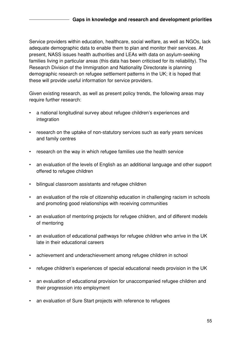Service providers within education, healthcare, social welfare, as well as NGOs, lack adequate demographic data to enable them to plan and monitor their services. At present, NASS issues health authorities and LEAs with data on asylum-seeking families living in particular areas (this data has been criticised for its reliability). The Research Division of the Immigration and Nationality Directorate is planning demographic research on refugee settlement patterns in the UK; it is hoped that these will provide useful information for service providers.

Given existing research, as well as present policy trends, the following areas may require further research:

- a national longitudinal survey about refugee children's experiences and integration
- research on the uptake of non-statutory services such as early years services and family centres
- research on the way in which refugee families use the health service
- an evaluation of the levels of English as an additional language and other support offered to refugee children
- bilingual classroom assistants and refugee children
- an evaluation of the role of citizenship education in challenging racism in schools and promoting good relationships with receiving communities
- an evaluation of mentoring projects for refugee children, and of different models of mentoring
- an evaluation of educational pathways for refugee children who arrive in the UK late in their educational careers
- achievement and underachievement among refugee children in school
- refugee children's experiences of special educational needs provision in the UK
- an evaluation of educational provision for unaccompanied refugee children and their progression into employment
- an evaluation of Sure Start projects with reference to refugees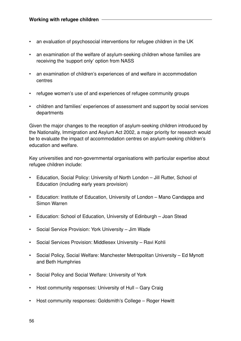- an evaluation of psychosocial interventions for refugee children in the UK
- an examination of the welfare of asylum-seeking children whose families are receiving the 'support only' option from NASS
- an examination of children's experiences of and welfare in accommodation centres
- refugee women's use of and experiences of refugee community groups
- children and families' experiences of assessment and support by social services departments

Given the major changes to the reception of asylum-seeking children introduced by the Nationality, Immigration and Asylum Act 2002, a major priority for research would be to evaluate the impact of accommodation centres on asylum-seeking children's education and welfare.

Key universities and non-governmental organisations with particular expertise about refugee children include:

- Education, Social Policy: University of North London Jill Rutter, School of Education (including early years provision)
- Education: Institute of Education, University of London Mano Candappa and Simon Warren
- Education: School of Education, University of Edinburgh Joan Stead
- Social Service Provision: York University Jim Wade
- Social Services Provision: Middlesex University Ravi Kohli
- Social Policy, Social Welfare: Manchester Metropolitan University Ed Mynott and Beth Humphries
- Social Policy and Social Welfare: University of York
- Host community responses: University of Hull Gary Craig
- Host community responses: Goldsmith's College Roger Hewitt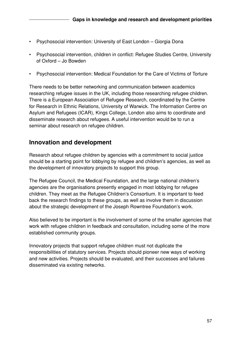- Psychosocial intervention: University of East London Giorgia Dona
- Psychosocial intervention, children in conflict: Refugee Studies Centre, University of Oxford – Jo Bowden
- Psychosocial intervention: Medical Foundation for the Care of Victims of Torture

There needs to be better networking and communication between academics researching refugee issues in the UK, including those researching refugee children. There is a European Association of Refugee Research, coordinated by the Centre for Research in Ethnic Relations, University of Warwick. The Information Centre on Asylum and Refugees (ICAR), Kings College, London also aims to coordinate and disseminate research about refugees. A useful intervention would be to run a seminar about research on refugee children.

## **Innovation and development**

Research about refugee children by agencies with a commitment to social justice should be a starting point for lobbying by refugee and children's agencies, as well as the development of innovatory projects to support this group.

The Refugee Council, the Medical Foundation, and the large national children's agencies are the organisations presently engaged in most lobbying for refugee children. They meet as the Refugee Children's Consortium. It is important to feed back the research findings to these groups, as well as involve them in discussion about the strategic development of the Joseph Rowntree Foundation's work.

Also believed to be important is the involvement of some of the smaller agencies that work with refugee children in feedback and consultation, including some of the more established community groups.

Innovatory projects that support refugee children must not duplicate the responsibilities of statutory services. Projects should pioneer new ways of working and new activities. Projects should be evaluated, and their successes and failures disseminated via existing networks.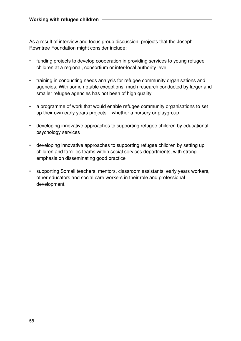As a result of interview and focus group discussion, projects that the Joseph Rowntree Foundation might consider include:

- funding projects to develop cooperation in providing services to young refugee children at a regional, consortium or inter-local authority level
- training in conducting needs analysis for refugee community organisations and agencies. With some notable exceptions, much research conducted by larger and smaller refugee agencies has not been of high quality
- a programme of work that would enable refugee community organisations to set up their own early years projects – whether a nursery or playgroup
- developing innovative approaches to supporting refugee children by educational psychology services
- developing innovative approaches to supporting refugee children by setting up children and families teams within social services departments, with strong emphasis on disseminating good practice
- supporting Somali teachers, mentors, classroom assistants, early years workers, other educators and social care workers in their role and professional development.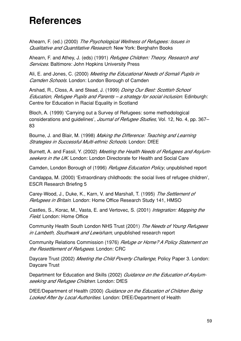## **References**

Ahearn, F. (ed.) (2000) The Psychological Wellness of Refugees: Issues in Qualitative and Quantitative Research. New York: Berghahn Books

Ahearn, F. and Athey, J. (eds) (1991) Refugee Children: Theory, Research and Services. Baltimore: John Hopkins University Press

Ali, E. and Jones, C. (2000) Meeting the Educational Needs of Somali Pupils in Camden Schools. London: London Borough of Camden

Arshad, R., Closs, A. and Stead, J. (1999) *Doing Our Best: Scottish School* Education, Refugee Pupils and Parents – a strategy for social inclusion. Edinburgh: Centre for Education in Racial Equality in Scotland

Bloch, A. (1999) 'Carrying out a Survey of Refugees: some methodological considerations and guidelines', *Journal of Refugee Studies*, Vol. 12, No. 4, pp. 367– 83

Bourne, J. and Blair, M. (1998) Making the Difference: Teaching and Learning Strategies in Successful Multi-ethnic Schools. London: DfEE

Burnett, A. and Fassil, Y. (2002) Meeting the Health Needs of Refugees and Asylumseekers in the UK. London: London Directorate for Health and Social Care

Camden, London Borough of (1996) *Refugee Education Policy*, unpublished report

Candappa, M. (2000) 'Extraordinary childhoods: the social lives of refugee children', ESCR Research Briefing 5

Carey-Wood, J., Duke, K., Karn, V. and Marshall, T. (1995) The Settlement of Refugees in Britain. London: Home Office Research Study 141, HMSO

Castles, S., Korac, M., Vasta, E. and Vertovec, S. (2001) *Integration: Mapping the* Field. London: Home Office

Community Health South London NHS Trust (2001) The Needs of Young Refugees in Lambeth, Southwark and Lewisham, unpublished research report

Community Relations Commission (1976) *Refuge or Home? A Policy Statement on* the Resettlement of Refugees. London: CRC

Daycare Trust (2002) Meeting the Child Poverty Challenge, Policy Paper 3. London: Daycare Trust

Department for Education and Skills (2002) Guidance on the Education of Asylumseeking and Refugee Children. London: DfES

DfEE/Department of Health (2000) Guidance on the Education of Children Being Looked After by Local Authorities. London: DfEE/Department of Health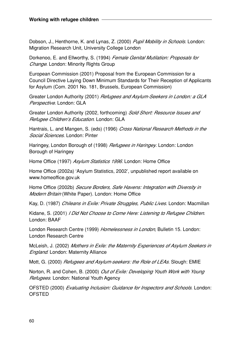Dobson, J., Henthorne, K. and Lynas, Z. (2000) Pupil Mobility in Schools. London: Migration Research Unit, University College London

Dorkenoo, E. and Ellworthy, S. (1994) Female Genital Mutilation: Proposals for Change. London: Minority Rights Group

European Commission (2001) Proposal from the European Commission for a Council Directive Laying Down Minimum Standards for Their Reception of Applicants for Asylum (Com. 2001 No. 181, Brussels, European Commission)

Greater London Authority (2001) Refugees and Asylum-Seekers in London: a GLA Perspective. London: GLA

Greater London Authority (2002, forthcoming) Sold Short: Resource Issues and Refugee Children's Education. London: GLA

Hantrais, L. and Mangen, S. (eds) (1996) Cross National Research Methods in the Social Sciences. London: Pinter

Haringey, London Borough of (1998) *Refugees in Haringey*. London: London Borough of Haringey

Home Office (1997) Asylum Statistics 1996. London: Home Office

Home Office (2002a) 'Asylum Statistics, 2002', unpublished report available on www.homeoffice.gov.uk

Home Office (2002b) Secure Borders, Safe Havens: Integration with Diversity in Modern Britain (White Paper). London: Home Office

Kay, D. (1987) Chileans in Exile: Private Struggles, Public Lives. London: Macmillan

Kidane, S. (2001) *I Did Not Choose to Come Here: Listening to Refugee Children.* London: BAAF

London Research Centre (1999) Homelessness in London, Bulletin 15. London: London Research Centre

McLeish, J. (2002) Mothers in Exile: the Maternity Experiences of Asylum Seekers in **England.** London: Maternity Alliance

Mott, G. (2000) *Refugees and Asylum-seekers: the Role of LEAs*. Slough: EMIE

Norton, R. and Cohen, B. (2000) Out of Exile: Developing Youth Work with Young Refugees. London: National Youth Agency

OFSTED (2000) Evaluating Inclusion: Guidance for Inspectors and Schools. London: **OFSTED**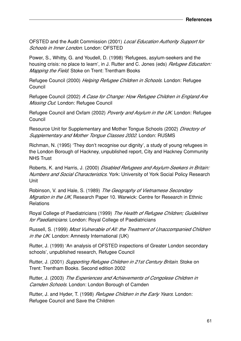OFSTED and the Audit Commission (2001) Local Education Authority Support for Schools in Inner London. London: OFSTED

Power, S., Whitty, G. and Youdell, D. (1998) 'Refugees, asylum-seekers and the housing crisis: no place to learn', in J. Rutter and C. Jones (eds) *Refugee Education:* Mapping the Field. Stoke on Trent: Trentham Books

Refugee Council (2000) Helping Refugee Children in Schools. London: Refugee Council

Refugee Council (2002) A Case for Change: How Refugee Children in England Are Missing Out. London: Refugee Council

Refugee Council and Oxfam (2002) Poverty and Asylum in the UK. London: Refugee Council

Resource Unit for Supplementary and Mother Tongue Schools (2002) Directory of Supplementary and Mother Tongue Classes 2002. London: RUSMS

Richman, N. (1995) 'They don't recognise our dignity', a study of young refugees in the London Borough of Hackney, unpublished report, City and Hackney Community NHS Trust

Roberts, K. and Harris, J. (2000) Disabled Refugees and Asylum-Seekers in Britain: Numbers and Social Characteristics. York: University of York Social Policy Research Unit

Robinson, V. and Hale, S. (1989) The Geography of Vietnamese Secondary Migration in the UK, Research Paper 10. Warwick: Centre for Research in Ethnic **Relations** 

Royal College of Paediatricians (1999) The Health of Refugee Children; Guidelines for Paediatricians. London: Royal College of Paediatricians

Russell, S. (1999) Most Vulnerable of All: the Treatment of Unaccompanied Children in the UK. London: Amnesty International (UK)

Rutter, J. (1999) 'An analysis of OFSTED inspections of Greater London secondary schools', unpublished research, Refugee Council

Rutter, J. (2001) Supporting Refugee Children in 21st Century Britain. Stoke on Trent: Trentham Books. Second edition 2002

Rutter, J. (2003) The Experiences and Achievements of Congolese Children in Camden Schools. London: London Borough of Camden

Rutter, J. and Hyder, T. (1998) Refugee Children in the Early Years. London: Refugee Council and Save the Children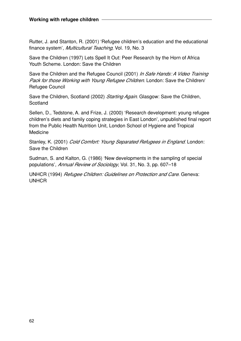Rutter, J. and Stanton, R. (2001) 'Refugee children's education and the educational finance system', *Multicultural Teaching*, Vol. 19, No. 3

Save the Children (1997) Lets Spell It Out: Peer Research by the Horn of Africa Youth Scheme. London: Save the Children

Save the Children and the Refugee Council (2001) In Safe Hands: A Video Training Pack for those Working with Young Refugee Children. London: Save the Children/ Refugee Council

Save the Children, Scotland (2002) Starting Again. Glasgow: Save the Children, **Scotland** 

Sellen, D., Tedstone, A. and Frize, J. (2000) 'Research development: young refugee children's diets and family coping strategies in East London', unpublished final report from the Public Health Nutrition Unit, London School of Hygiene and Tropical Medicine

Stanley, K. (2001) Cold Comfort: Young Separated Refugees in England. London: Save the Children

Sudman, S. and Kalton, G. (1986) 'New developments in the sampling of special populations', Annual Review of Sociology, Vol. 31, No. 3, pp. 607-18

UNHCR (1994) Refugee Children: Guidelines on Protection and Care. Geneva: **UNHCR**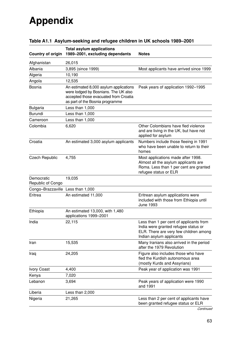# **Appendix**

| <b>Country of origin</b>        | <b>Total asylum applications</b><br>1989-2001, excluding dependants                                                                                        | <b>Notes</b>                                                                                                                                          |
|---------------------------------|------------------------------------------------------------------------------------------------------------------------------------------------------------|-------------------------------------------------------------------------------------------------------------------------------------------------------|
| Afghanistan                     | 26,015                                                                                                                                                     |                                                                                                                                                       |
| Albania                         | 3,895 (since 1999)                                                                                                                                         | Most applicants have arrived since 1999                                                                                                               |
| Algeria                         | 10,190                                                                                                                                                     |                                                                                                                                                       |
| Angola                          | 12,535                                                                                                                                                     |                                                                                                                                                       |
| <b>Bosnia</b>                   | An estimated 8,000 asylum applications<br>were lodged by Bosnians. The UK also<br>accepted those evacuated from Croatia<br>as part of the Bosnia programme | Peak years of application 1992-1995                                                                                                                   |
| <b>Bulgaria</b>                 | Less than 1,000                                                                                                                                            |                                                                                                                                                       |
| Burundi                         | Less than 1,000                                                                                                                                            |                                                                                                                                                       |
| Cameroon                        | Less than 1,000                                                                                                                                            |                                                                                                                                                       |
| Colombia                        | 6,620                                                                                                                                                      | Other Colombians have fled violence<br>and are living in the UK, but have not<br>applied for asylum                                                   |
| Croatia                         | An estimated 3,000 asylum applicants                                                                                                                       | Numbers include those fleeing in 1991<br>who have been unable to return to their<br>homes                                                             |
| <b>Czech Republic</b>           | 4,755                                                                                                                                                      | Most applications made after 1998.<br>Almost all the asylum applicants are<br>Roma. Less than 1 per cent are granted<br>refugee status or ELR         |
| Democratic<br>Republic of Congo | 19,035                                                                                                                                                     |                                                                                                                                                       |
| Congo-Brazzaville               | Less than 1,000                                                                                                                                            |                                                                                                                                                       |
| Eritrea                         | An estimated 11,000                                                                                                                                        | Eritrean asylum applications were<br>included with those from Ethiopia until<br>June 1993                                                             |
| Ethiopia                        | An estimated 13,000, with 1,480<br>applications 1999-2001                                                                                                  |                                                                                                                                                       |
| India                           | 22,115                                                                                                                                                     | Less than 1 per cent of applicants from<br>India were granted refugee status or<br>ELR. There are very few children among<br>Indian asylum applicants |
| Iran                            | 15,535                                                                                                                                                     | Many Iranians also arrived in the period<br>after the 1979 Revolution                                                                                 |
| Iraq                            | 24,205                                                                                                                                                     | Figure also includes those who have<br>fled the Kurdish autonomous area<br>(mostly Kurds and Assyrians)                                               |
| <b>Ivory Coast</b>              | 4,400                                                                                                                                                      | Peak year of application was 1991                                                                                                                     |
| Kenya                           | 7,020                                                                                                                                                      |                                                                                                                                                       |
| Lebanon                         | 3,694                                                                                                                                                      | Peak years of application were 1990<br>and 1991                                                                                                       |
| Liberia                         | Less than 2,000                                                                                                                                            |                                                                                                                                                       |
| Nigeria                         | 21,265                                                                                                                                                     | Less than 2 per cent of applicants have<br>been granted refugee status or ELR                                                                         |

## **Table A1.1 Asylum-seeking and refugee children in UK schools 1989–2001**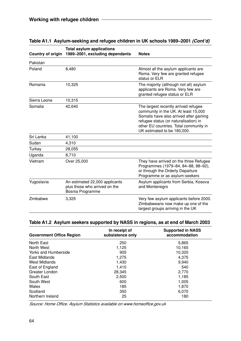| <b>Country of origin</b> | <b>Total asylum applications</b><br>1989-2001, excluding dependants                 | <b>Notes</b>                                                                                                                                                                                                                              |
|--------------------------|-------------------------------------------------------------------------------------|-------------------------------------------------------------------------------------------------------------------------------------------------------------------------------------------------------------------------------------------|
| Pakistan                 |                                                                                     |                                                                                                                                                                                                                                           |
| Poland                   | 8,480                                                                               | Almost all the asylum applicants are<br>Roma. Very few are granted refugee<br>status or ELR                                                                                                                                               |
| Romania                  | 10,325                                                                              | The majority (although not all) asylum<br>applicants are Roma. Very few are<br>granted refugee status or ELR                                                                                                                              |
| Sierra Leone             | 10,315                                                                              |                                                                                                                                                                                                                                           |
| Somalia                  | 42,640                                                                              | The largest recently arrived refugee<br>community in the UK. At least 15,000<br>Somalis have also arrived after gaining<br>refugee status (or naturalisation) in<br>other EU countries. Total community in<br>UK estimated to be 180,000. |
| Sri Lanka                | 41,100                                                                              |                                                                                                                                                                                                                                           |
| Sudan                    | 4,310                                                                               |                                                                                                                                                                                                                                           |
| Turkey                   | 28,055                                                                              |                                                                                                                                                                                                                                           |
| Uganda                   | 8,710                                                                               |                                                                                                                                                                                                                                           |
| Vietnam                  | Over 25,000                                                                         | They have arrived on the three Refugee<br>Programmes (1979-84, 84-88, 88-92),<br>or through the Orderly Departure<br>Programme or as asylum-seekers                                                                                       |
| Yugoslavia               | An estimated 22,000 applicants<br>plus those who arrived on the<br>Bosnia Programme | Asylum applicants from Serbia, Kosova<br>and Montenegro                                                                                                                                                                                   |
| Zimbabwe                 | 3,325                                                                               | Very few asylum applicants before 2000.<br>Zimbabweans now make up one of the<br>largest groups arriving in the UK                                                                                                                        |

#### **Table A1.1 Asylum-seeking and refugee children in UK schools 1989–2001 (Cont'd)**

#### **Table A1.2 Asylum seekers supported by NASS in regions, as at end of March 2003**

| <b>Government Office Region</b> | In receipt of<br>subsistence only | <b>Supported in NASS</b><br>accommodation |
|---------------------------------|-----------------------------------|-------------------------------------------|
| North East                      | 250                               | 5,865                                     |
| North West                      | 1,125                             | 10,165                                    |
| <b>Yorks and Humberside</b>     | 905                               | 10,320                                    |
| East Midlands                   | 1,275                             | 4,375                                     |
| West Midlands                   | 1,430                             | 9,940                                     |
| East of England                 | 1,410                             | 540                                       |
| Greater London                  | 28,345                            | 2,770                                     |
| South East                      | 2,500                             | 1,185                                     |
| South West                      | 600                               | 1,005                                     |
| Wales                           | 185                               | 1,870                                     |
| Scotland                        | 350                               | 6,070                                     |
| Northern Ireland                | 25                                | 180                                       |

Source: Home Office. Asylum Statistics available on www.homeoffice.gov.uk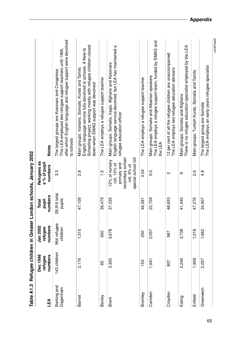|                         |                                |                                |                           | Table A1.3 Refugee children in Greater London schools, January 2002                                     |                                                                                                                                                                                                                           |
|-------------------------|--------------------------------|--------------------------------|---------------------------|---------------------------------------------------------------------------------------------------------|---------------------------------------------------------------------------------------------------------------------------------------------------------------------------------------------------------------------------|
| LEA                     | Dec 1998<br>numbers<br>refugee | numbers<br>Jan 2002<br>refugee | numbers<br>pupil<br>Total | Refugees as<br>a % of pupil<br>numbers                                                                  | <b>Notes</b>                                                                                                                                                                                                              |
| Barking and<br>Dagenham | 143 children                   | 964 refugee<br>children        | 28,916 total<br>pupils    | 3.3                                                                                                     | after which English language and refugee support were devolved<br>This LEA employed two refugee support teachers until 1999,<br>The largest groups are Kosovars and Congolese.<br>to schools                              |
| <b>Barnet</b>           | 2,176                          | 1,315                          | 47,109                    | 8.g                                                                                                     | Schooling project, working mostly with refugee children closed<br>English language service fully devolved to schools. A New to<br>Main groups: Iranians, Somalis, Kurds and Tamils<br>down when EMAG support was devolved |
| Bexley                  | 65                             | 600                            | 39,479                    | $\frac{1}{1}$                                                                                           | The LEA employs a refugee support teacher                                                                                                                                                                                 |
| <b>Brent</b>            | 3,300                          | 3,678                          | 37,335                    | special school roll<br>secondary school<br>12% of nursery<br>primary and<br>roll, 10% of<br>roll, 9% of | English language service devolved, but LEA has maintained a<br>Main groups: Somalis, Iraqis, Afghans and Kosovars<br>refugee education officer                                                                            |
| Bromley                 | 153                            | 250                            | 46,591                    | 0.54                                                                                                    | The LEA employs a refugee support teacher                                                                                                                                                                                 |
| Camden                  | 1,641                          | 2,057                          | 22,709                    | ္ပဲ                                                                                                     | The LEA employs a refugee support team, funded by EMAG and<br>Main groups: Somalis and Albanian speakers<br>the LEA                                                                                                       |
| Croydon                 | 807                            | 987                            | 48,653                    | $\mathbf{\Omega}$                                                                                       | 13 per cent of all the refugee children are unaccompanied<br>The LEA employs two refugee education advisers                                                                                                               |
| Ealing                  | 2,246                          | 3,738                          | 41,440                    | თ                                                                                                       | There is no refugee education specialist employed by the LEA<br>Main groups: Somalis and Afghans                                                                                                                          |
| Enfield                 | 1,909                          | 1,218                          | 47,276                    | 0.6                                                                                                     | Main groups: Turkish Kurds, Somalis and Tamils                                                                                                                                                                            |
| Greenwich               | 2,057                          | 1,662                          | 34,907                    | $4.\overline{8}$                                                                                        | The LEA employs an early years refugee specialist<br>The largest group are Somalis                                                                                                                                        |
|                         |                                |                                |                           |                                                                                                         | continued                                                                                                                                                                                                                 |

65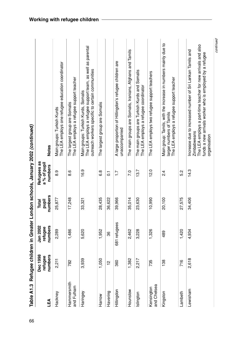| Table A1.3                |                                | Refugee children in Greater    |                                  |                                        | condon schools, January 2002 (continued)                                                                                                                                                                              |
|---------------------------|--------------------------------|--------------------------------|----------------------------------|----------------------------------------|-----------------------------------------------------------------------------------------------------------------------------------------------------------------------------------------------------------------------|
| LEA                       | Dec 1998<br>numbers<br>refugee | numbers<br>Jan 2002<br>refugee | numbers<br><b>Total</b><br>pupil | Refugees as<br>a % of pupil<br>numbers | <b>Notes</b>                                                                                                                                                                                                          |
| Hackney                   | 2,211                          | 2,289                          | 25,877                           | 0.6                                    | The LEA employs one refugee education coordinator<br>Main groups: Turkish Kurds                                                                                                                                       |
| Hammersmith<br>and Fulham | 782                            | 1,486                          | 17,248                           | 8.6                                    | The LEA employs a refugee support teacher<br>The largest group are Somalis                                                                                                                                            |
| Haringey                  | 3,939                          | 5,620                          | 33,321                           | 16.9                                   | The LEA employs a refugee support team, as well as parental<br>outreach workers specific to certain communities<br>Main groups: Turkish Kurds, Somalis                                                                |
| Harrow                    | 1,050                          | 1,952                          | 28,435                           | 6.8                                    | The largest group are Somalis                                                                                                                                                                                         |
| Havering                  | $\frac{2}{1}$                  | 86                             | 36,622                           | $\overline{c}$                         |                                                                                                                                                                                                                       |
| Hillingdon                | 360                            | 681 refugees                   | 39,966                           | $\frac{1}{1}$                          | A large proportion of Hillingdon's refugee children are<br>unaccompanied                                                                                                                                              |
| Hounslow                  | 1,382                          | 2,462                          | 35,014                           | 7.0                                    | The main groups are Somalis, Iranians, Afghans and Tamils                                                                                                                                                             |
| Islington                 | 2,217                          | 3,228                          | 23,630                           | 13.7                                   | The main groups are Turkish Kurds and Somalis<br>The LEA employs a refugee coordinator                                                                                                                                |
| and Chelsea<br>Kensington | 735                            | 1,326                          | 10,990                           | 12.0                                   | The LEA employs two refugee support teachers                                                                                                                                                                          |
| Kingston                  | 138                            | 489                            | 20,100                           | $\frac{4}{3}$                          | Main group: Tamils, with the increase in numbers mainly due to<br>The LEA employs a refugee support teacher<br>larger numbers of Tamils                                                                               |
| Lambeth                   | 716                            | 1,420                          | 27,575                           | 5.2                                    |                                                                                                                                                                                                                       |
| Lewisham                  | 2,618                          | 4,934                          | 34,406                           | 14.3                                   | The LEA employs a part-time teacher for new arrivals and also<br>Increase due to increased number of Sri Lankan Tamils and<br>funds a new arrivals worker who is employed by a refugee<br>Zimbabweans<br>organisation |

66**Table A1.3 Refugee children in Greater London schools, January 2002 (continued) בי החת**  $\epsilon$ j Ń é  $\mathbf{c}$  $\ddot{\phantom{a}}$ Tobio

continued continued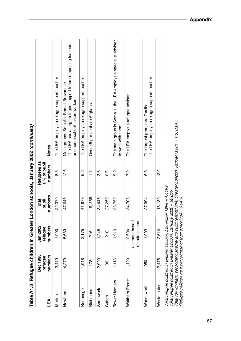| Table A1.3            |                                | Refugee children in Greater                                                                                                                                                                          |                           |                                        | London schools, January 2002 (continued)                                                                                                  |
|-----------------------|--------------------------------|------------------------------------------------------------------------------------------------------------------------------------------------------------------------------------------------------|---------------------------|----------------------------------------|-------------------------------------------------------------------------------------------------------------------------------------------|
| LEA                   | Dec 1998<br>numbers<br>refugee | Jan 2002<br>numbers<br>refugee                                                                                                                                                                       | numbers<br>pupil<br>Total | Refugees as<br>a % of pupil<br>numbers | <b>Notes</b>                                                                                                                              |
| Merton                | 2,419                          | 1,900                                                                                                                                                                                                | 22,379                    | 8.5                                    | The LEA employs a refugee support teacher                                                                                                 |
| Newham                | 4,279                          | 5,689                                                                                                                                                                                                | 47,646                    | 12.6                                   | The LEA has a large refugee support team comprising teachers<br>Main groups: Somalis, Somali Bravanese<br>and home school liaison workers |
| Redbridge             | 1,018                          | 2,175                                                                                                                                                                                                | 41,978                    | 5.2                                    | The LEA employs a refugee support teacher                                                                                                 |
| Richmond              | 178                            | 216                                                                                                                                                                                                  | 19, 358                   | H                                      | Over 45 per cent are Afghans                                                                                                              |
| Southwark             | 2,900                          | 1,248                                                                                                                                                                                                | 34,446                    | <u>ვ.</u>                              |                                                                                                                                           |
| Sutton                | 96                             | 210                                                                                                                                                                                                  | 27,259                    | $\overline{0.7}$                       |                                                                                                                                           |
| Tower Hamlets         | 1,118                          | 1,919                                                                                                                                                                                                | 36,752                    | 5.2                                    | The main group is Somalis, the LEA employs a specialist adviser<br>to work with them                                                      |
| <b>Waltham Forest</b> | 1,100                          | estimate based<br>on admissions<br>2,500                                                                                                                                                             | 34,706                    | 7.2                                    | The LEA emplys a refugee adviser                                                                                                          |
| Wandsworth            | 950                            | 1,903                                                                                                                                                                                                | 27,994                    | 6.8                                    | The LEA employs a refugee support teacher<br>The largest group are Tamils                                                                 |
| Westminster           | 2,478                          | 2,514                                                                                                                                                                                                | 18,130                    | 13.9                                   |                                                                                                                                           |
|                       |                                | Total refugee children in Greater London, December 1998 = 47,193<br>Total refugee children in Greater London, January 2002 = 62,666<br>Refugee children as a percentage of total school roll = 6.04% |                           |                                        | Total roll (primary, secondary, special and pupil referral unit) Greater London, January 2001 = 1,038,247                                 |

67